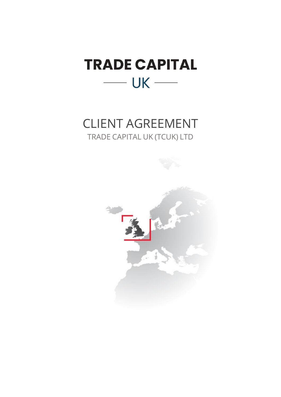

# CLIENT AGREEMENT TRADE CAPITAL UK (TCUK) LTD

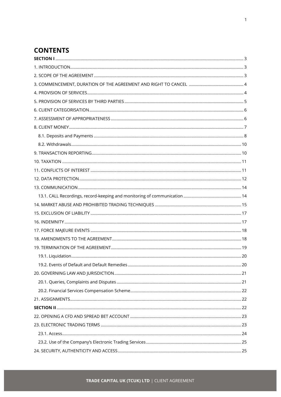# **CONTENTS**

| . 20 |
|------|
|      |
|      |
|      |
|      |
|      |
|      |
|      |
|      |
|      |
|      |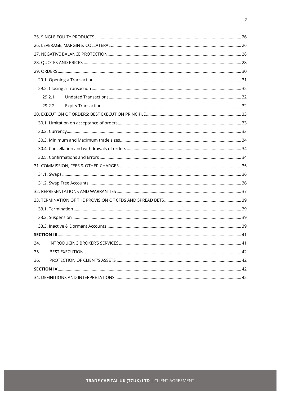|     | 29.2.1. |  |  |  |
|-----|---------|--|--|--|
|     | 29.2.2. |  |  |  |
|     |         |  |  |  |
|     |         |  |  |  |
|     |         |  |  |  |
|     |         |  |  |  |
|     |         |  |  |  |
|     |         |  |  |  |
|     |         |  |  |  |
|     |         |  |  |  |
|     |         |  |  |  |
|     |         |  |  |  |
|     |         |  |  |  |
|     |         |  |  |  |
|     |         |  |  |  |
|     |         |  |  |  |
|     |         |  |  |  |
| 34. |         |  |  |  |
| 35. |         |  |  |  |
| 36. |         |  |  |  |
|     |         |  |  |  |
|     |         |  |  |  |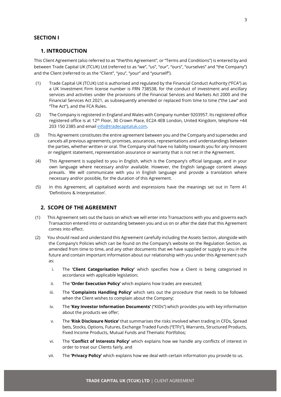#### <span id="page-3-0"></span>**SECTION I**

#### <span id="page-3-1"></span>**1. INTRODUCTION**

This Client Agreement (also referred to as "the/this Agreement", or "Terms and Conditions") is entered by and between Trade Capital UK (TCUK) Ltd (referred to as "we", "us", "our", "ours", "ourselves" and ''the Company") and the Client (referred to as the "Client", "you", "your" and "yourself").

- (1) Trade Capital UK (TCUK) Ltd is authorised and regulated by the Financial Conduct Authority ("FCA") as a UK Investment Firm license number is FRN 738538, for the conduct of investment and ancillary services and activities under the provisions of the Financial Services and Markets Act 2000 and the Financial Services Act 2021, as subsequently amended or replaced from time to time ("the Law" and "The Act"), and the FCA Rules.
- (2) The Company is registered in England and Wales with Company number 9203957. Its registered office registered office is at 12<sup>th</sup> Floor, 30 Crown Place, EC2A 4EB London, United Kingdom, telephone +44 203 150 2385 and email info@tradecapitaluk.com.
- (3) This Agreement constitutes the entire agreement between you and the Company and supersedes and cancels all previous agreements, promises, assurances, representations and understandings between the parties, whether written or oral. The Company shall have no liability towards you for any innocent or negligent statement, representation assurance or warranty that is not net in the Agreement.
- (4) This Agreement is supplied to you in English, which is the Company's official language, and in your own language where necessary and/or available. However, the English language content always prevails. We will communicate with you in English language and provide a translation where necessary and/or possible, for the duration of this Agreement.
- (5) In this Agreement, all capitalised words and expressions have the meanings set out in Term 41 'Definitions & Interpretation'.

#### <span id="page-3-2"></span>**2. SCOPE OF THE AGREEMENT**

- (1) This Agreement sets out the basis on which we will enter into Transactions with you and governs each Transaction entered into or outstanding between you and us on or after the date that this Agreement comes into effect.
- (2) You should read and understand this Agreement carefully including the Assets Section, alongside with the Company's Policies which can be found on the Company's website on the Regulation Section, as amended from time to time, and any other documents that we have supplied or supply to you in the future and contain important information about our relationship with you under this Agreement such as:
	- i. The **'Client Categorisation Policy'** which specifies how a Client is being categorised in accordance with applicable legislation;
	- ii. The **'Order Execution Policy'** which explains how trades are executed;
	- iii. The **'Complaints Handling Policy'** which sets out the procedure that needs to be followed when the Client wishes to complain about the Company;
	- iv. The **'Key Investor Information Documents'** ("KIDs") which provides you with key information about the products we offer;
	- v. The **'Risk Disclosure Notice'** that summarises the risks involved when trading in CFDs, Spread bets, Stocks, Options, Futures, Exchange Traded Funds ("ETFs"), Warrants, Structured Products, Fixed Income Products, Mutual Funds and Thematic Portfolios;
	- vi. The **'Conflict of Interests Policy'** which explains how we handle any conflicts of interest in order to treat our Clients fairly, and
	- vii. The **'Privacy Policy'** which explains how we deal with certain information you provide to us.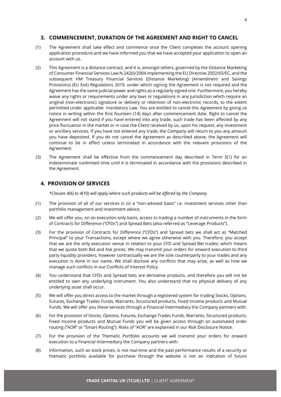# <span id="page-4-0"></span>**3. COMMENCEMENT, DURATION OF THE AGREEMENT AND RIGHT TO CANCEL**

- (1) The Agreement shall take effect and commence once the Client completes the account opening application procedure and we have informed you that we have accepted your application to open an account with us.
- (2) This Agreement is a distance contract, and it is, amongst others, governed by the Distance Marketing of Consumer Financial Services Law N.242(I)/2004 implementing the EU Directive 2002/65/EC, and the subsequent HM Treasury Financial Services (Distance Marketing) (Amendment and Savings Provisions) (EU Exit) Regulations 2019, under which signing the Agreement is not required and the Agreement has the same judicial power and rights as a regularly signed one. Furthermore, you hereby waive any rights or requirements under any laws or regulations in any jurisdiction which require an original (non-electronic) signature or delivery or retention of non-electronic records, to the extent permitted under applicable mandatory Law. You are entitled to cancel this Agreement by giving us notice in writing within the first fourteen (14) days after commencement date. Right to cancel the Agreement will not stand if you have entered into any trade, such trade has been affected by any price fluctuation in the market or in case the Client received by us, upon his request, any investment or ancillary services. If you have not entered any trade, the Company will return to you any amount you have deposited. If you do not cancel the Agreement as described above, the Agreement will continue to be in effect unless terminated in accordance with the relevant provisions of the Agreement.
- (3) The Agreement shall be effective from the commencement day described in Term 3(1) for an indeterminate /unlimited time until it is terminated in accordance with the provisions described in the Agreement.

# <span id="page-4-1"></span>**4. PROVISION OF SERVICES**

*\*Clauses 4(6) to 4(10) will apply where such products will be offered by the Company*

- (1) The provision of all of our services is on a "non-advised basis" i.e. investment services other than portfolio management and investment advice.
- (2) We will offer you, on an execution-only basis, access to trading a number of instruments in the form of Contracts for Difference ("CFDs") and Spread Bets (also referred as "Leverage Products").
- (3) For the provision of Contracts for Difference ("CFDs") and Spread bets we shall act as "Matched Principal" to your Transactions, except where we agree otherwise with you. Therefore, you accept that we are the only execution venue in relation to your CFD and Spread Bet trades; which means that we quote both Bid and Ask prices. We may transmit your orders for onward execution to third party liquidity providers, however contractually we are the sole counterparty to your trades and any execution is done in our name. We shall disclose any conflicts that may arise, as well as how we manage such conflicts in our Conflicts of Interest Policy.
- (4) You understand that CFDs and Spread bets are derivative products, and therefore you will not be entitled to own any underlying instrument. You also understand that no physical delivery of any underlying asset shall occur.
- (5) We will offer you direct access to the market through a registered system for trading Stocks, Options, Futures, Exchange Trades Funds, Warrants, Structured products, Fixed Income products and Mutual Funds. We will offer you these services through a Financial Intermediary the Company partners with.
- (6) For the provision of Stocks, Options, Futures, Exchange Trades Funds, Warrants, Structured products, Fixed Income products and Mutual Funds you will be given access through an automated order routing ("AOR" or "Smart Routing"). Risks of "AOR" are explained in our Risk Disclosure Notice.
- (7) For the provision of the Thematic Portfolio accounts we will transmit your orders for onward execution to a Financial Intermediary the Company partners with.
- (8) Information, such as stock prices, is not real-time and the past performance results of a security or thematic portfolio available for purchase through the website is not an indication of future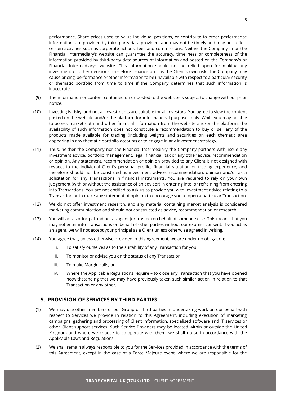performance. Share prices used to value individual positions, or contribute to other performance information, are provided by third-party data providers and may not be timely and may not reflect certain activities such as corporate actions, fees and commissions. Neither the Company's nor the Financial Intermediary's website can guarantee the accuracy, timeliness or completeness of the information provided by third-party data sources of information and posted on the Company's or Financial Intermediary's website. This information should not be relied upon for making any investment or other decisions, therefore reliance on it is the Client's own risk. The Company may cause pricing, performance or other information to be unavailable with respect to a particular security or thematic portfolio from time to time if the Company determines that such information is inaccurate.

- (9) The information or content contained on or posted to the website is subject to change without prior notice.
- (10) Investing is risky, and not all investments are suitable for all investors. You agree to view the content posted on the website and/or the platform for informational purposes only. While you may be able to access market data and other financial information from the website and/or the platform, the availability of such information does not constitute a recommendation to buy or sell any of the products made available for trading (including weights and securities on each thematic area appearing in any thematic portfolio account) or to engage in any investment strategy.
- (11) Thus, neither the Company nor the Financial Intermediary the Company partners with, issue any investment advice, portfolio management, legal, financial, tax or any other advice, recommendation or opinion. Any statement, recommendation or opinion provided to any Client is not designed with respect to the individual Client's personal profile, financial situation or trading experience, and therefore should not be construed as investment advice, recommendation, opinion and/or as a solicitation for any Transactions in financial instruments. You are required to rely on your own judgement (with or without the assistance of an advisor) in entering into, or refraining from entering into Transactions. You are not entitled to ask us to provide you with investment advice relating to a Transaction or to make any statement of opinion to encourage you to open a particular Transaction.
- (12) We do not offer investment research, and any material containing market analysis is considered marketing communication and should not constructed as advice, recommendation or research.
- (13) You will act as principal and not as agent (or trustee) on behalf of someone else. This means that you may not enter into Transactions on behalf of other parties without our express consent. If you act as an agent, we will not accept your principal as a Client unless otherwise agreed in writing.
- (14) You agree that, unless otherwise provided in this Agreement, we are under no obligation:
	- i. To satisfy ourselves as to the suitability of any Transaction for you;
	- ii. To monitor or advise you on the status of any Transaction;
	- iii. To make Margin calls; or
	- iv. Where the Applicable Regulations require to close any Transaction that you have opened notwithstanding that we may have previously taken such similar action in relation to that Transaction or any other.

#### <span id="page-5-0"></span>**5. PROVISION OF SERVICES BY THIRD PARTIES**

- (1) We may use other members of our Group or third parties in undertaking work on our behalf with respect to Services we provide in relation to this Agreement, including execution of marketing campaigns, gathering and processing of Client information, specialised software and IT services or other Client support services. Such Service Providers may be located within or outside the United Kingdom and where we choose to co-operate with them, we shall do so in accordance with the Applicable Laws and Regulations.
- (2) We shall remain always responsible to you for the Services provided in accordance with the terms of this Agreement, except in the case of a Force Majeure event, where we are responsible for the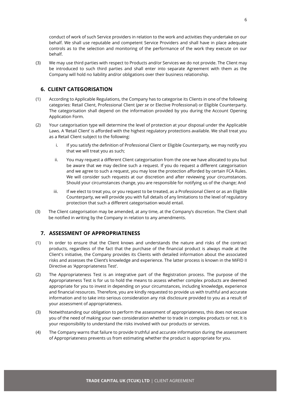conduct of work of such Service providers in relation to the work and activities they undertake on our behalf. We shall use reputable and competent Service Providers and shall have in place adequate controls as to the selection and monitoring of the performance of the work they execute on our behalf.

(3) We may use third parties with respect to Products and/or Services we do not provide. The Client may be introduced to such third parties and shall enter into separate Agreement with them as the Company will hold no liability and/or obligations over their business relationship.

# <span id="page-6-0"></span>**6. CLIENT CATEGORISATION**

- (1) According to Applicable Regulations, the Company has to categorise its Clients in one of the following categories: Retail Client, Professional Client (*per se* or Elective Professional) or Eligible Counterparty. The categorisation shall depend on the information provided by you during the Account Opening Application Form.
- (2) Your categorisation type will determine the level of protection at your disposal under the Applicable Laws. A 'Retail Client' is afforded with the highest regulatory protections available. We shall treat you as a Retail Client subject to the following:
	- i. If you satisfy the definition of Professional Client or Eligible Counterparty, we may notify you that we will treat you as such;
	- ii. You may request a different Client categorisation from the one we have allocated to you but be aware that we may decline such a request. If you do request a different categorisation and we agree to such a request, you may lose the protection afforded by certain FCA Rules. We will consider such requests at our discretion and after reviewing your circumstances. Should your circumstances change, you are responsible for notifying us of the change; And
	- iii. If we elect to treat you, or you request to be treated, as a Professional Client or as an Eligible Counterparty, we will provide you with full details of any limitations to the level of regulatory protection that such a different categorisation would entail.
- (3) The Client categorisation may be amended, at any time, at the Company's discretion. The Client shall be notified in writing by the Company in relation to any amendments.

# <span id="page-6-1"></span>**7. ASSESSMENT OF APPROPRIATENESS**

- (1) In order to ensure that the Client knows and understands the nature and risks of the contract products, regardless of the fact that the purchase of the financial product is always made at the Client's initiative, the Company provides its Clients with detailed information about the associated risks and assesses the Client's knowledge and experience. The latter process is known in the MiFID II Directive as 'Appropriateness Test'.
- (2) The Appropriateness Test is an integrative part of the Registration process. The purpose of the Appropriateness Test is for us to hold the means to assess whether complex products are deemed appropriate for you to invest in depending on your circumstances, including knowledge, experience and financial resources. Therefore, you are kindly requested to provide us with truthful and accurate information and to take into serious consideration any risk disclosure provided to you as a result of your assessment of appropriateness.
- (3) Notwithstanding our obligation to perform the assessment of appropriateness, this does not excuse you of the need of making your own consideration whether to trade in complex products or not. It is your responsibility to understand the risks involved with our products or services.
- (4) The Company warns that failure to provide truthful and accurate information during the assessment of Appropriateness prevents us from estimating whether the product is appropriate for you.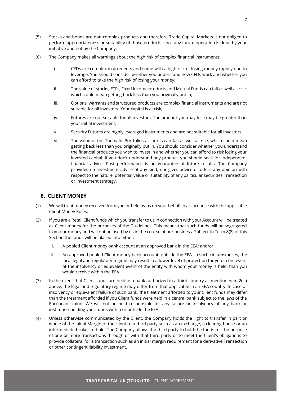- (5) Stocks and bonds are non-complex products and therefore Trade Capital Markets is not obliged to perform appropriateness or suitability of those products since any future operation is done by your initiative and not by the Company.
- (6) The Company makes all warnings about the high risk of complex financial instruments:
	- i. CFDs are complex instruments and come with a high risk of losing money rapidly due to leverage. You should consider whether you understand how CFDs work and whether you can afford to take the high risk of losing your money;
	- ii. The value of stocks, ETFs, Fixed Income products and Mutual Funds can fall as well as rise, which could mean getting back less than you originally put in;
	- iii. Options, warrants and structured products are complex financial instruments and are not suitable for all investors. Your capital is at risk;
	- iv. Futures are not suitable for all investors. The amount you may lose may be greater than your initial investment;
	- v. Security Futures are highly leveraged instruments and are not suitable for all investors;
	- vi. The value of the Thematic Portfolios accounts can fall as well as rise, which could mean getting back less than you originally put in. You should consider whether you understand the financial products you wish to invest in and whether you can afford to risk losing your invested capital. If you don't understand any product, you should seek for independent financial advice. Past performance is no guarantee of future results. The Company provides no investment advice of any kind, nor gives advice or offers any opinion with respect to the nature, potential value or suitability of any particular securities Transaction or investment strategy.

#### <span id="page-7-0"></span>**8. CLIENT MONEY**

- (1) We will treat money received from you or held by us on your behalf in accordance with the applicable Client Money Rules.
- (2) If you are a Retail Client funds which you transfer to us in connection with your Account will be treated as Client money for the purposes of the Guidelines. This means that such funds will be segregated from our money and will not be used by us in the course of our business. Subject to Term 8(8) of this Section the funds will be placed into either:
	- i. A pooled Client money bank account at an approved bank in the EEA; and/or
	- ii. An approved pooled Client money bank account, outside the EEA. In such circumstances, the local legal and regulatory regime may result in a lower level of protection for you in the event of the insolvency or equivalent event of the entity with whom your money is held, than you would receive within the EEA.
- (3) In the event that Client funds are held in a bank authorized in a third country as mentioned in 2(iii) above, the legal and regulatory regime may differ from that applicable in an EEA country. In case of insolvency or equivalent failure of such bank, the treatment afforded to your Client funds may differ than the treatment afforded if you Client funds were held in a central bank subject to the laws of the European Union. We will not be held responsible for any failure or insolvency of any bank or institution holding your funds within or outside the EEA.
- (4) Unless otherwise communicated by the Client, the Company holds the right to transfer in part or whole of the Initial Margin of the client to a third party such as an exchange, a clearing house or an intermediate broker to hold. The Company allows the third party to hold the funds for the purpose of one or more transactions through or with that third party or to meet the Client's obligations to provide collateral for a transaction such as an initial margin requirement for a derivative Transaction or other contingent liability investment.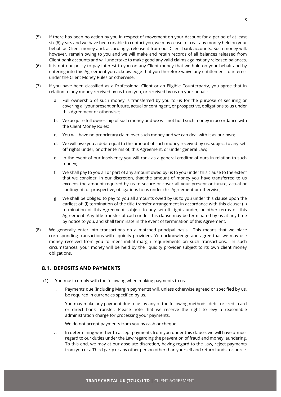- (5) If there has been no action by you in respect of movement on your Account for a period of at least six (6) years and we have been unable to contact you, we may cease to treat any money held on your behalf as Client money and, accordingly, release it from our Client bank accounts. Such money will, however, remain owing to you and we will make and retain records of all balances released from Client bank accounts and will undertake to make good any valid claims against any released balances.
- (6) It is not our policy to pay interest to you on any Client money that we hold on your behalf and by entering into this Agreement you acknowledge that you therefore waive any entitlement to interest under the Client Money Rules or otherwise.
- (7) If you have been classified as a Professional Client or an Eligible Counterparty, you agree that in relation to any money received by us from you, or received by us on your behalf:
	- a. Full ownership of such money is transferred by you to us for the purpose of securing or covering all your present or future, actual or contingent, or prospective, obligations to us under this Agreement or otherwise;
	- b. We acquire full ownership of such money and we will not hold such money in accordance with the Client Money Rules;
	- c. You will have no proprietary claim over such money and we can deal with it as our own;
	- d. We will owe you a debt equal to the amount of such money received by us, subject to any setoff rights under, or other terms of, this Agreement, or under general Law;
	- e. In the event of our insolvency you will rank as a general creditor of ours in relation to such money;
	- f. We shall pay to you all or part of any amount owed by us to you under this clause to the extent that we consider, in our discretion, that the amount of money you have transferred to us exceeds the amount required by us to secure or cover all your present or future, actual or contingent, or prospective, obligations to us under this Agreement or otherwise;
	- g. We shall be obliged to pay to you all amounts owed by us to you under this clause upon the earliest of: (i) termination of the title transfer arrangement in accordance with this clause; (ii) termination of this Agreement subject to any set-off rights under, or other terms of, this Agreement. Any title transfer of cash under this clause may be terminated by us at any time by notice to you, and shall terminate in the event of termination of this Agreement.
- (8) We generally enter into transactions on a matched principal basis. This means that we place corresponding transactions with liquidity providers. You acknowledge and agree that we may use money received from you to meet initial margin requirements on such transactions. In such circumstances, your money will be held by the liquidity provider subject to its own client money obligations.

# <span id="page-8-0"></span>**8.1. DEPOSITS AND PAYMENTS**

- (1) You must comply with the following when making payments to us:
	- i. Payments due (including Margin payments) will, unless otherwise agreed or specified by us, be required in currencies specified by us.
	- ii. You may make any payment due to us by any of the following methods: debit or credit card or direct bank transfer. Please note that we reserve the right to levy a reasonable administration charge for processing your payments.
	- iii. We do not accept payments from you by cash or cheque.
	- iv. In determining whether to accept payments from you under this clause, we will have utmost regard to our duties under the Law regarding the prevention of fraud and money laundering. To this end, we may at our absolute discretion, having regard to the Law, reject payments from you or a Third party or any other person other than yourself and return funds to source.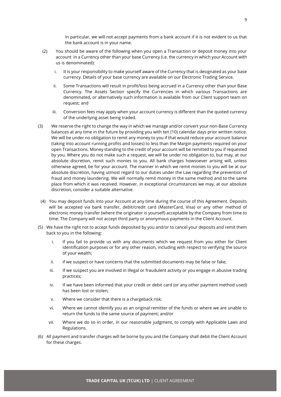In particular, we will not accept payments from a bank account if it is not evident to us that the bank account is in your name.

- (2) You should be aware of the following when you open a Transaction or deposit money into your account in a Currency other than your base Currency (i.e. the currency in which your Account with us is denominated):
	- i. It is your responsibility to make yourself aware of the Currency that is designated as your base currency. Details of your base currency are available on our Electronic Trading Service.
	- ii. Some Transactions will result in profit/loss being accrued in a Currency other than your Base Currency. The Assets Section specify the Currencies in which various Transactions are denominated, or alternatively such information is available from our Client support team on request; and
	- iii. Conversion fees may apply when your account currency is different than the quoted currency of the underlying asset being traded.
- (3) We reserve the right to change the way in which we manage and/or convert your non-Base Currency balances at any time in the future by providing you with ten (10) calendar days prior written notice. We will be under no obligation to remit any money to you if that would reduce your account balance (taking into account running profits and losses) to less than the Margin payments required on your open Transactions. Money standing to the credit of your account will be remitted to you if requested by you. Where you do not make such a request, we will be under no obligation to, but may, at our absolute discretion, remit such monies to you. All bank charges howsoever arising will, unless otherwise agreed, be for your account. The manner in which we remit monies to you will be at our absolute discretion, having utmost regard to our duties under the Law regarding the prevention of fraud and money laundering. We will normally remit money in the same method and to the same place from which it was received. However, in exceptional circumstances we may, at our absolute discretion, consider a suitable alternative.
	- (4) You may deposit funds into your Account at any time during the course of this Agreement. Deposits will be accepted via bank transfer, debit/credit card (MasterCard, Visa) or any other method of electronic money transfer (where the originator is yourself) acceptable by the Company from time to time. The Company will not accept third party or anonymous payments in the Client Account.
- (5) We have the right not to accept funds deposited by you and/or to cancel your deposits and remit them back to you in the following:
	- i. If you fail to provide us with any documents which we request from you either for Client identification purposes or for any other reason, including with respect to verifying the source of your wealth;
	- ii. if we suspect or have concerns that the submitted documents may be false or fake;
	- iii. If we suspect you are involved in illegal or fraudulent activity or you engage in abusive trading practices;
	- iv. If we have been informed that your credit or debit card (or any other payment method used) has been lost or stolen;
	- v. Where we consider that there is a chargeback risk;
	- vi. Where we cannot identify you as an original remitter of the funds or where we are unable to return the funds to the same source of payment; and/or
	- vii. Where we do so in order, in our reasonable judgment, to comply with Applicable Laws and Regulations.
- (6) All payment and transfer charges will be borne by you and the Company shall debit the Client Account for these charges.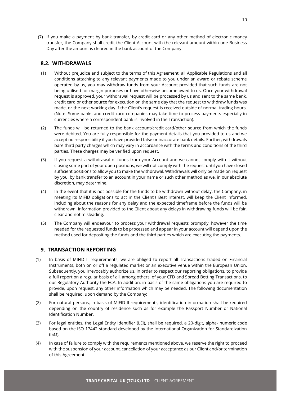(7) If you make a payment by bank transfer, by credit card or any other method of electronic money transfer, the Company shall credit the Client Account with the relevant amount within one Business Day after the amount is cleared in the bank account of the Company.

# <span id="page-10-0"></span>**8.2. WITHDRAWALS**

- (1) Without prejudice and subject to the terms of this Agreement, all Applicable Regulations and all conditions attaching to any relevant payments made to you under an award or rebate scheme operated by us, you may withdraw funds from your Account provided that such funds are not being utilised for margin purposes or have otherwise become owed to us. Once your withdrawal request is approved, your withdrawal request will be processed by us and sent to the same bank, credit card or other source for execution on the same day that the request to withdraw funds was made, or the next working day if the Client's request is received outside of normal trading hours. (Note: Some banks and credit card companies may take time to process payments especially in currencies where a correspondent bank is involved in the Transaction).
- (2) The funds will be returned to the bank account/credit card/other source from which the funds were debited. You are fully responsible for the payment details that you provided to us and we accept no responsibility if you have provided false or inaccurate bank details. Further, withdrawals bare third party charges which may vary in accordance with the terms and conditions of the third parties. These charges may be verified upon request.
- (3) If you request a withdrawal of funds from your Account and we cannot comply with it without closing some part of your open positions, we will not comply with the request until you have closed sufficient positions to allow you to make the withdrawal. Withdrawals will only be made on request by you, by bank transfer to an account in your name or such other method as we, in our absolute discretion, may determine.
- (4) In the event that it is not possible for the funds to be withdrawn without delay, the Company, in meeting its MiFID obligations to act in the Client's Best Interest, will keep the Client informed, including about the reasons for any delay and the expected timeframe before the funds will be withdrawn. Information provided to the Client about any delays in withdrawing funds will be fair, clear and not misleading.
- (5) The Company will endeavour to process your withdrawal requests promptly, however the time needed for the requested funds to be processed and appear in your account will depend upon the method used for depositing the funds and the third parties which are executing the payments.

# <span id="page-10-1"></span>**9. TRANSACTION REPORTING**

- (1) In basis of MIFID II requirements, we are obliged to report all Transactions traded on Financial Instruments, both on or off a regulated market or an executive venue within the European Union. Subsequently, you irrevocably authorize us, in order to respect our reporting obligations, to provide a full report on a regular basis of all, among others, of your CFD and Spread Betting Transactions, to our Regulatory Authority the FCA. In addition, in basis of the same obligations you are required to provide, upon request, any other information which may be needed. The following documentation shall be required, upon demand by the Company:
- (2) For natural persons, in basis of MIFID II requirements, identification information shall be required depending on the country of residence such as for example the Passport Number or National Identification Number.
- (3) For legal entities, the Legal Entity Identifier (LEI), shall be required, a 20-digit, alpha- numeric code based on the ISO 17442 standard developed by the International Organization for Standardization (ISO).
- (4) In case of failure to comply with the requirements mentioned above, we reserve the right to proceed with the suspension of your account, cancellation of your acceptance as our Client and/or termination of this Agreement.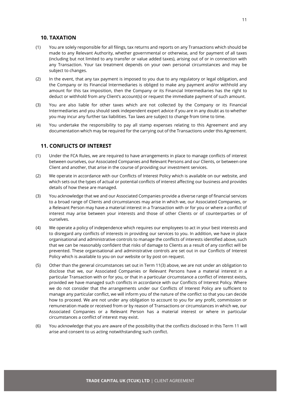#### <span id="page-11-0"></span>**10. TAXATION**

- (1) You are solely responsible for all filings, tax returns and reports on any Transactions which should be made to any Relevant Authority, whether governmental or otherwise, and for payment of all taxes (including but not limited to any transfer or value added taxes), arising out of or in connection with any Transaction. Your tax treatment depends on your own personal circumstances and may be subject to changes.
- (2) In the event, that any tax payment is imposed to you due to any regulatory or legal obligation, and the Company or its Financial Intermediaries is obliged to make any payment and/or withhold any amount for this tax imposition, then the Company or its Financial Intermediaries has the right to deduct or withhold from any Client's account(s) or request the immediate payment of such amount.
- (3) You are also liable for other taxes which are not collected by the Company or its Financial Intermediaries and you should seek independent expert advice if you are in any doubt as to whether you may incur any further tax liabilities. Tax laws are subject to change from time to time.
- (4) You undertake the responsibility to pay all stamp expenses relating to this Agreement and any documentation which may be required for the carrying out of the Transactions under this Agreement.

# <span id="page-11-1"></span>**11. CONFLICTS OF INTEREST**

- (1) Under the FCA Rules, we are required to have arrangements in place to manage conflicts of interest between ourselves, our Associated Companies and Relevant Persons and our Clients, or between one Client and another, that arise in the course of providing our investment services.
- (2) We operate in accordance with our Conflicts of Interest Policy which is available on our website, and which sets out the types of actual or potential conflicts of interest affecting our business and provides details of how these are managed.
- (3) You acknowledge that we and our Associated Companies provide a diverse range of financial services to a broad range of Clients and circumstances may arise in which we, our Associated Companies, or a Relevant Person may have a material interest in a Transaction with or for you or where a conflict of interest may arise between your interests and those of other Clients or of counterparties or of ourselves.
- (4) We operate a policy of independence which requires our employees to act in your best interests and to disregard any conflicts of interests in providing our services to you. In addition, we have in place organisational and administrative controls to manage the conflicts of interests identified above, such that we can be reasonably confident that risks of damage to Clients as a result of any conflict will be prevented. These organisational and administrative controls are set out in our Conflicts of Interest Policy which is available to you on our website or by post on request.
- (5) Other than the general circumstances set out in Term 11(3) above, we are not under an obligation to disclose that we, our Associated Companies or Relevant Persons have a material interest in a particular Transaction with or for you, or that in a particular circumstance a conflict of interest exists, provided we have managed such conflicts in accordance with our Conflicts of Interest Policy. Where we do not consider that the arrangements under our Conflicts of Interest Policy are sufficient to manage any particular conflict, we will inform you of the nature of the conflict so that you can decide how to proceed. We are not under any obligation to account to you for any profit, commission or remuneration made or received from or by reason of Transactions or circumstances in which we, our Associated Companies or a Relevant Person has a material interest or where in particular circumstances a conflict of interest may exist.
- (6) You acknowledge that you are aware of the possibility that the conflicts disclosed in this Term 11 will arise and consent to us acting notwithstanding such conflict.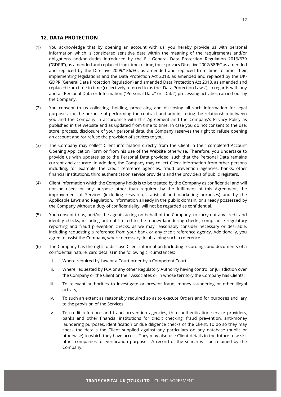#### <span id="page-12-0"></span>**12. DATA PROTECTION**

- (1) You acknowledge that by opening an account with us, you hereby provide us with personal information which is considered sensitive data within the meaning of the requirements and/or obligations and/or duties introduced by the EU General Data Protection Regulation 2016/679 ("GDPR"), as amended and replaced from time to time, the e-privacy Directive 2002/58/EC as amended and replaced by the Directive 2009/136/EC, as amended and replaced from time to time, their implementing legislations and the Data Protection Act 2018, as amended and replaced by the UK-GDPR (General Data Protection Regulation) and amended Data Protection Act 2018, as amended and replaced from time to time (collectively referred to as the "Data Protection Laws"), in regards with any and all Personal Data or Information ("Personal Data" or "Data") processing activities carried out by the Company.
- (2) You consent to us collecting, holding, processing and disclosing all such information for legal purposes, for the purpose of performing the contract and administering the relationship between you and the Company in accordance with this Agreement and the Company's Privacy Policy as published in the website and as updated from time to time. In case you do not consent to the use, store, process, disclosure of your personal data, the Company reserves the right to refuse opening an account and /or refuse the provision of services to you.
- (3) The Company may collect Client information directly from the Client in their completed Account Opening Application Form or from his use of the Website otherwise. Therefore, you undertake to provide us with updates as to the Personal Data provided, such that the Personal Data remains current and accurate. In addition, the Company may collect Client information from other persons including, for example, the credit reference agencies, fraud prevention agencies, banks, other financial institutions, third authentication service providers and the providers of public registers.
- (4) Client information which the Company holds is to be treated by the Company as confidential and will not be used for any purpose other than required by the fulfilment of this Agreement, the improvement of Services (including research, statistical and marketing purposes) and by the Applicable Laws and Regulation. Information already in the public domain, or already possessed by the Company without a duty of confidentiality, will not be regarded as confidential.
- (5) You consent to us, and/or the agents acting on behalf of the Company, to carry out any credit and identity checks, including but not limited to the money laundering checks, compliance regulatory reporting and fraud prevention checks, as we may reasonably consider necessary or desirable, including requesting a reference from your bank or any credit reference agency. Additionally, you agree to assist the Company, where necessary, in obtaining such a reference.
- (6) The Company has the right to disclose Client information (including recordings and documents of a confidential nature, card details) in the following circumstances:
	- i. Where required by Law or a Court order by a Competent Court;
	- ii. Where requested by FCA or any other Regulatory Authority having control or jurisdiction over the Company or the Client or their Associates or in whose territory the Company has Clients;
	- iii. To relevant authorities to investigate or prevent fraud, money laundering or other illegal activity;
	- iv. To such an extent as reasonably required so as to execute Orders and for purposes ancillary to the provision of the Services;
	- v. To credit reference and fraud prevention agencies, third authentication service providers, banks and other financial institutions for credit checking, fraud prevention, anti-money laundering purposes, identification or due diligence checks of the Client. To do so they may check the details the Client supplied against any particulars on any database (public or otherwise) to which they have access. They may also use Client details in the future to assist other companies for verification purposes. A record of the search will be retained by the Company;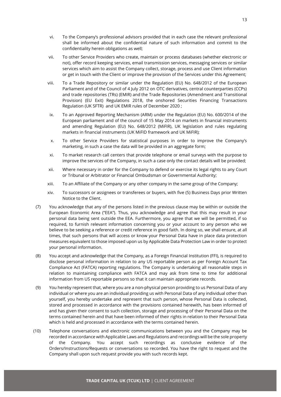- vi. To the Company's professional advisors provided that in each case the relevant professional shall be informed about the confidential nature of such information and commit to the confidentiality herein obligations as well;
- vii. To other Service Providers who create, maintain or process databases (whether electronic or not), offer record keeping services, email transmission services, messaging services or similar services which aim to assist the Company collect, storage, process and use Client information or get in touch with the Client or improve the provision of the Services under this Agreement;
- viii. To a Trade Repository or similar under the Regulation (EU) No. 648/2012 of the European Parliament and of the Council of 4 July 2012 on OTC derivatives, central counterparties (CCPs) and trade repositories (TRs) (EMIR) and the Trade Repositories (Amendment and Transitional Provision) (EU Exit) Regulations 2018, the onshored Securities Financing Transactions Regulation (UK SFTR) and UK EMIR rules of December 2020 ;
- ix. To an Approved Reporting Mechanism (ARM) under the Regulation (EU) No. 600/2014 of the European parliament and of the council of 15 May 2014 on markets in financial instruments and amending Regulation (EU) No. 648/2012 (MiFIR), UK legislation and rules regulating markets in financial instruments (UK MiFID framework and UK MiFIR);
- x. To other Service Providers for statistical purposes in order to improve the Company's marketing, in such a case the data will be provided in an aggregate form;
- xi. To market research call centers that provide telephone or email surveys with the purpose to improve the services of the Company, in such a case only the contact details will be provided;
- xii. Where necessary in order for the Company to defend or exercise its legal rights to any Court or Tribunal or Arbitrator or Financial Ombudsman or Governmental Authority;
- xiii. To an Affiliate of the Company or any other company in the same group of the Company;
- xiv. To successors or assignees or transferees or buyers, with five (5) Business Days prior Written Notice to the Client.
- (7) You acknowledge that any of the persons listed in the previous clause may be within or outside the European Economic Area ("EEA"). Thus, you acknowledge and agree that this may result in your personal data being sent outside the EEA. Furthermore, you agree that we will be permitted, if so required, to furnish relevant information concerning you or your account to any person who we believe to be seeking a reference or credit reference in good faith. In doing so, we shall ensure, at all times, that such persons that will access or know your Personal Data have in place data protection measures equivalent to those imposed upon us by Applicable Data Protection Law in order to protect your personal information.
- (8) You accept and acknowledge that the Company, as a Foreign Financial Institution (FFI), is required to disclose personal information in relation to any US reportable person as per Foreign Account Tax Compliance Act (FATCA) reporting regulations. The Company is undertaking all reasonable steps in relation to maintaining compliance with FATCA and may ask from time to time for additional information from US reportable persons so that it can maintain appropriate records.
- (9) You hereby represent that, where you are a non-physical person providing to us Personal Data of any individual or where you are an individual providing us with Personal Data of any individual other than yourself, you hereby undertake and represent that such person, whose Personal Data is collected, stored and processed in accordance with the provisions contained herewith, has been informed of and has given their consent to such collection, storage and processing of their Personal Data on the terms contained herein and that have been informed of their rights in relation to their Personal Data which is held and processed in accordance with the terms contained herein.
- (10) Telephone conversations and electronic communications between you and the Company may be recorded in accordance with Applicable Laws and Regulations and recordings will be the sole property of the Company. You accept such recordings as conclusive evidence of the Orders/Instructions/Requests or conversations so recorded. You have the right to request and the Company shall upon such request provide you with such records kept.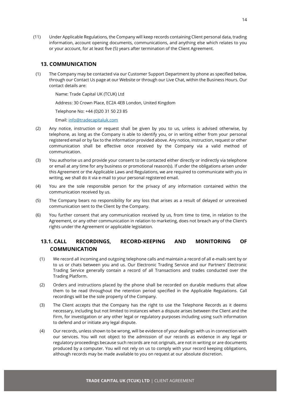(11) Under Applicable Regulations, the Company will keep records containing Client personal data, trading information, account opening documents, communications, and anything else which relates to you or your account, for at least five (5) years after termination of the Client Agreement.

# <span id="page-14-0"></span>**13. COMMUNICATION**

(1) The Company may be contacted via our Customer Support Department by phone as specified below, through our Contact Us page at our Website or through our Live Chat, within the Business Hours. Our contact details are:

Name: Trade Capital UK (TCUK) Ltd

Address: 30 Crown Place, EC2A 4EB London, United Kingdom

Telephone No: +44 (0)20 31 50 23 85

Email: [info@tradecapitaluk.com](mailto:info@tradecapitaluk.com)

- (2) Any notice, instruction or request shall be given by you to us, unless is advised otherwise, by telephone, as long as the Company is able to identify you, or in writing either from your personal registered email or by fax to the information provided above. Any notice, instruction, request or other communication shall be effective once received by the Company via a valid method of communication.
- (3) You authorise us and provide your consent to be contacted either directly or indirectly via telephone or email at any time for any business or promotional reason(s). If under the obligations arisen under this Agreement or the Applicable Laws and Regulations, we are required to communicate with you in writing, we shall do it via e-mail to your personal registered email.
- (4) You are the sole responsible person for the privacy of any information contained within the communication received by us.
- (5) The Company bears no responsibility for any loss that arises as a result of delayed or unreceived communication sent to the Client by the Company.
- (6) You further consent that any communication received by us, from time to time, in relation to the Agreement, or any other communication in relation to marketing, does not breach any of the Client's rights under the Agreement or applicable legislation.

# <span id="page-14-1"></span>**13.1. CALL RECORDINGS, RECORD-KEEPING AND MONITORING OF COMMUNICATION**

- (1) We record all incoming and outgoing telephone calls and maintain a record of all e-mails sent by or to us or chats between you and us. Our Electronic Trading Service and our Partners' Electronic Trading Service generally contain a record of all Transactions and trades conducted over the Trading Platform.
- (2) Orders and instructions placed by the phone shall be recorded on durable mediums that allow them to be read throughout the retention period specified in the Applicable Regulations. Call recordings will be the sole property of the Company.
- (3) The Client accepts that the Company has the right to use the Telephone Records as it deems necessary, including but not limited to instances when a dispute arises between the Client and the Firm, for investigation or any other legal or regulatory purposes including using such information to defend and or initiate any legal dispute.
- (4) Our records, unless shown to be wrong, will be evidence of your dealings with us in connection with our services. You will not object to the admission of our records as evidence in any legal or regulatory proceedings because such records are not originals, are not in writing or are documents produced by a computer. You will not rely on us to comply with your record keeping obligations, although records may be made available to you on request at our absolute discretion.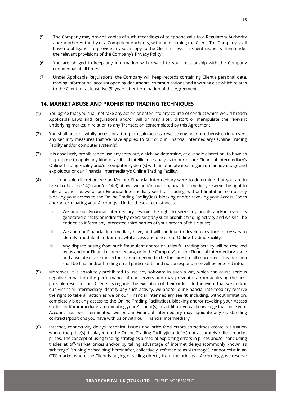- (5) The Company may provide copies of such recordings of telephone calls to a Regulatory Authority and/or other Authority of a Competent Authority, without informing the Client. The Company shall have no obligation to provide any such copy to the Client, unless the Client requests them under the relevant provisions of the Company's Privacy Policy.
- (6) You are obliged to keep any information with regard to your relationship with the Company confidential at all times.
- (7) Under Applicable Regulations, the Company will keep records containing Client's personal data, trading information, account opening documents, communications and anything else which relates to the Client for at least five (5) years after termination of this Agreement.

# <span id="page-15-0"></span>**14. MARKET ABUSE AND PROHIBITED TRADING TECHNIQUES**

- (1) You agree that you shall not take any action or enter into any course of conduct which would breach Applicable Laws and Regulations and/or will or may alter, distort or manipulate the relevant underlying market in relation to any Transaction contemplated by this Agreement.
- (2) You shall not unlawfully access or attempt to gain access, reverse engineer or otherwise circumvent any security measures that we have applied to our or our Financial Intermediary's Online Trading Facility and/or computer system(s).
- (3) It is absolutely prohibited to use any software, which we determine, at our sole discretion, to have as its purpose to apply any kind of artificial intelligence analysis to our or our Financial Intermediary's Online Trading Facility and/or computer system(s) with an ultimate goal to gain unfair advantage and exploit our or our Financial Intermediary's Online Trading Facility.
- (4) If, at our sole discretion, we and/or our Financial Intermediary were to determine that you are in breach of clause 14(2) and/or 14(3) above, we and/or our Financial Intermediary reserve the right to take all action as we or our Financial Intermediary see fit, including, without limitation, completely blocking your access to the Online Trading Facility(ies), blocking and/or revoking your Access Codes and/or terminating your Account(s). Under these circumstances:
	- i. We and our Financial Intermediary reserve the right to seize any profits and/or revenues generated directly or indirectly by exercising any such prohibit trading activity and we shall be entitled to inform any interested third parties of your breach of this clause;
	- ii. We and our Financial Intermediary have, and will continue to develop any tools necessary to identify fraudulent and/or unlawful access and use of our Online Trading Facility;
	- iii. Any dispute arising from such fraudulent and/or or unlawful trading activity will be resolved by us and our Financial Intermediary, or in the Company's or the Financial Intermediary's sole and absolute discretion, in the manner deemed to be the fairest to all concerned. This decision shall be final and/or binding on all participants and no correspondence will be entered into.
- (5) Moreover, it is absolutely prohibited to use any software in such a way which can cause serious negative impact on the performance of our servers and may prevent us from achieving the best possible result for our Clients as regards the execution of their orders. In the event that we and/or our Financial Intermediary identify any such activity, we and/or our Financial Intermediary reserve the right to take all action as we or our Financial Intermediary see fit, including, without limitation, completely blocking access to the Online Trading Facility(ies), blocking and/or revoking your Access Codes and/or immediately terminating your Account(s). In addition, you acknowledge that once your Account has been terminated, we or our Financial Intermediary may liquidate any outstanding contracts/positions you have with us or with our Financial Intermediary.
- (6) Internet, connectivity delays, technical issues and price feed errors sometimes create a situation where the price(s) displayed on the Online Trading Facility(ies) do(es) not accurately reflect market prices. The concept of using trading strategies aimed at exploiting errors in prices and/or concluding trades at off-market prices and/or by taking advantage of internet delays (commonly known as 'arbitrage', 'sniping' or 'scalping' hereinafter, collectively, referred to as 'Arbitrage'), cannot exist in an OTC market where the Client is buying or selling directly from the principal. Accordingly, we reserve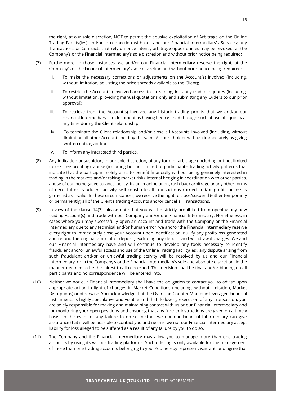the right, at our sole discretion, NOT to permit the abusive exploitation of Arbitrage on the Online Trading Facility(ies) and/or in connection with our and our Financial Intermediary's Services; any Transactions or Contracts that rely on price latency arbitrage opportunities may be revoked, at the Company's or the Financial Intermediary's sole discretion and without prior notice being required;

- (7) Furthermore, in those instances, we and/or our Financial Intermediary reserve the right, at the Company's or the Financial Intermediary's sole discretion and without prior notice being required:
	- i. To make the necessary corrections or adjustments on the Account(s) involved (including, without limitation, adjusting the price spreads available to the Client);
	- ii. To restrict the Account(s) involved access to streaming, instantly tradable quotes (including, without limitation, providing manual quotations only and submitting any Orders to our prior approval);
	- iii. To retrieve from the Account(s) involved any historic trading profits that we and/or our Financial Intermediary can document as having been gained through such abuse of liquidity at any time during the Client relationship;
	- iv. To terminate the Client relationship and/or close all Accounts involved (including, without limitation all other Accounts held by the same Account holder with us) immediately by giving written notice; and/or
	- v. To inform any interested third parties.
- (8) Any indication or suspicion, in our sole discretion, of any form of arbitrage (including but not limited to risk free profiting), abuse (including but not limited to participant's trading activity patterns that indicate that the participant solely aims to benefit financially without being genuinely interested in trading in the markets and/or taking market risk), internal hedging in coordination with other parties, abuse of our 'no negative balance' policy, fraud, manipulation, cash-back arbitrage or any other forms of deceitful or fraudulent activity, will constitute all Transactions carried and/or profits or losses garnered as invalid. In these circumstances, we reserve the right to close/suspend (either temporarily or permanently) all of the Client's trading Accounts and/or cancel all Transactions.
- (9) In view of the clause 14(7), please note that you will be strictly prohibited from opening any new trading Account(s) and trade with our Company and/or our Financial Intermediary. Nonetheless, in cases where you may successfully open an Account and trade with the Company or the Financial Intermediary due to any technical and/or human error, we and/or the Financial Intermediary reserve every right to immediately close your Account upon identification, nullify any profit/loss generated and refund the original amount of deposit, excluding any deposit and withdrawal charges. We and our Financial Intermediary have and will continue to develop any tools necessary to identify fraudulent and/or unlawful access and use of the Online Trading Facility(ies); any dispute arising from such fraudulent and/or or unlawful trading activity will be resolved by us and our Financial Intermediary, or in the Company's or the Financial Intermediary's sole and absolute discretion, in the manner deemed to be the fairest to all concerned. This decision shall be final and/or binding on all participants and no correspondence will be entered into.
- (10) Neither we nor our Financial Intermediary shall have the obligation to contact you to advise upon appropriate action in light of changes in Market Conditions (including, without limitation, Market Disruptions) or otherwise. You acknowledge that the Over-The-Counter Market in leveraged Financial Instruments is highly speculative and volatile and that, following execution of any Transaction, you are solely responsible for making and maintaining contact with us or our Financial Intermediary and for monitoring your open positions and ensuring that any further instructions are given on a timely basis. In the event of any failure to do so, neither we nor our Financial Intermediary can give assurance that it will be possible to contact you and neither we nor our Financial Intermediary accept liability for loss alleged to be suffered as a result of any failure by you to do so.
- (11) The Company and the Financial Intermediary may allow you to manage more than one trading accounts by using its various trading platforms. Such offering is only available for the management of more than one trading accounts belonging to you. You hereby represent, warrant, and agree that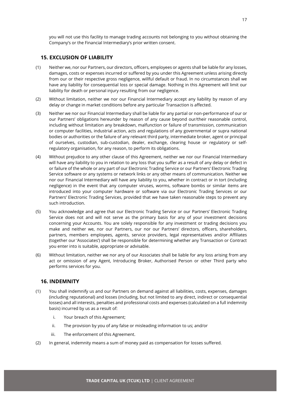you will not use this facility to manage trading accounts not belonging to you without obtaining the Company's or the Financial Intermediary's prior written consent.

#### <span id="page-17-0"></span>**15. EXCLUSION OF LIABILITY**

- (1) Neither we, nor our Partners, our directors, officers, employees or agents shall be liable for any losses, damages, costs or expenses incurred or suffered by you under this Agreement unless arising directly from our or their respective gross negligence, willful default or fraud. In no circumstances shall we have any liability for consequential loss or special damage. Nothing in this Agreement will limit our liability for death or personal injury resulting from our negligence.
- (2) Without limitation, neither we nor our Financial Intermediary accept any liability by reason of any delay or change in market conditions before any particular Transaction is affected.
- (3) Neither we nor our Financial Intermediary shall be liable for any partial or non-performance of our or our Partners' obligations hereunder by reason of any cause beyond our/their reasonable control, including without limitation any breakdown, malfunction or failure of transmission, communication or computer facilities, industrial action, acts and regulations of any governmental or supra national bodies or authorities or the failure of any relevant third party, intermediate broker, agent or principal of ourselves, custodian, sub-custodian, dealer, exchange, clearing house or regulatory or selfregulatory organisation, for any reason, to perform its obligations.
- (4) Without prejudice to any other clause of this Agreement, neither we nor our Financial Intermediary will have any liability to you in relation to any loss that you suffer as a result of any delay or defect in or failure of the whole or any part of our Electronic Trading Service or our Partners' Electronic Trading Service software or any systems or network links or any other means of communication. Neither we nor our Financial Intermediary will have any liability to you, whether in contract or in tort (including negligence) in the event that any computer viruses, worms, software bombs or similar items are introduced into your computer hardware or software via our Electronic Trading Services or our Partners' Electronic Trading Services, provided that we have taken reasonable steps to prevent any such introduction.
- (5) You acknowledge and agree that our Electronic Trading Service or our Partners' Electronic Trading Service does not and will not serve as the primary basis for any of your investment decisions concerning your Accounts. You are solely responsible for any investment or trading decisions you make and neither we, nor our Partners, our nor our Partners' directors, officers, shareholders, partners, members employees, agents, service providers, legal representatives and/or Affiliates (together our 'Associates') shall be responsible for determining whether any Transaction or Contract you enter into is suitable, appropriate or advisable.
- (6) Without limitation, neither we nor any of our Associates shall be liable for any loss arising from any act or omission of any Agent, Introducing Broker, Authorised Person or other Third party who performs services for you.

#### <span id="page-17-1"></span>**16. INDEMNITY**

- (1) You shall indemnify us and our Partners on demand against all liabilities, costs, expenses, damages (including reputational) and losses (including, but not limited to any direct, indirect or consequential losses) and all interests, penalties and professional costs and expenses (calculated on a full indemnity basis) incurred by us as a result of:
	- i. Your breach of this Agreement;
	- ii. The provision by you of any false or misleading information to us; and/or
	- iii. The enforcement of this Agreement.
- (2) In general, indemnity means a sum of money paid as compensation for losses suffered.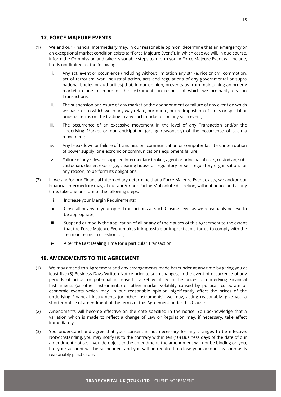# <span id="page-18-0"></span>**17. FORCE MAJEURE EVENTS**

- (1) We and our Financial Intermediary may, in our reasonable opinion, determine that an emergency or an exceptional market condition exists (a "Force Majeure Event"), in which case we will, in due course, inform the Commission and take reasonable steps to inform you. A Force Majeure Event will include, but is not limited to, the following:
	- i. Any act, event or occurrence (including without limitation any strike, riot or civil commotion, act of terrorism, war, industrial action, acts and regulations of any governmental or supra national bodies or authorities) that, in our opinion, prevents us from maintaining an orderly market in one or more of the Instruments in respect of which we ordinarily deal in Transactions;
	- ii. The suspension or closure of any market or the abandonment or failure of any event on which we base, or to which we in any way relate, our quote, or the imposition of limits or special or unusual terms on the trading in any such market or on any such event;
	- iii. The occurrence of an excessive movement in the level of any Transaction and/or the Underlying Market or our anticipation (acting reasonably) of the occurrence of such a movement;
	- iv. Any breakdown or failure of transmission, communication or computer facilities, interruption of power supply, or electronic or communications equipment failure;
	- v. Failure of any relevant supplier, intermediate broker, agent or principal of ours, custodian, subcustodian, dealer, exchange, clearing house or regulatory or self-regulatory organisation, for any reason, to perform its obligations.
- (2) If we and/or our Financial Intermediary determine that a Force Majeure Event exists, we and/or our Financial Intermediary may, at our and/or our Partners' absolute discretion, without notice and at any time, take one or more of the following steps:
	- i. Increase your Margin Requirements;
	- ii. Close all or any of your open Transactions at such Closing Level as we reasonably believe to be appropriate;
	- iii. Suspend or modify the application of all or any of the clauses of this Agreement to the extent that the Force Majeure Event makes it impossible or impracticable for us to comply with the Term or Terms in question; or,
	- iv. Alter the Last Dealing Time for a particular Transaction.

#### <span id="page-18-1"></span>**18. AMENDMENTS TO THE AGREEMENT**

- (1) We may amend this Agreement and any arrangements made hereunder at any time by giving you at least five (5) Business Days Written Notice prior to such changes. In the event of occurrence of any periods of actual or potential increased market volatility in the prices of underlying Financial Instruments (or other instruments) or other market volatility caused by political, corporate or economic events which may, in our reasonable opinion, significantly affect the prices of the underlying Financial Instruments (or other instruments), we may, acting reasonably, give you a shorter notice of amendment of the terms of this Agreement under this Clause.
- (2) Amendments will become effective on the date specified in the notice. You acknowledge that a variation which is made to reflect a change of Law or Regulation may, if necessary, take effect immediately.
- (3) You understand and agree that your consent is not necessary for any changes to be effective. Notwithstanding, you may notify us to the contrary within ten (10) Business days of the date of our amendment notice. If you do object to the amendment, the amendment will not be binding on you, but your account will be suspended, and you will be required to close your account as soon as is reasonably practicable.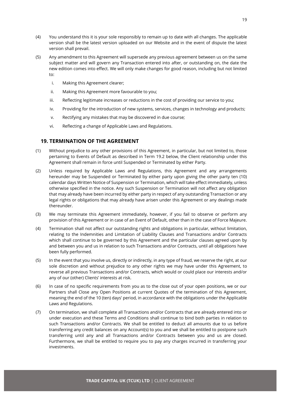- (4) You understand this it is your sole responsibly to remain up to date with all changes. The applicable version shall be the latest version uploaded on our Website and in the event of dispute the latest version shall prevail.
- (5) Any amendment to this Agreement will supersede any previous agreement between us on the same subject matter and will govern any Transaction entered into after, or outstanding on, the date the new edition comes into effect. We will only make changes for good reason, including but not limited to:
	- i. Making this Agreement clearer;
	- ii. Making this Agreement more favourable to you;
	- iii. Reflecting legitimate increases or reductions in the cost of providing our service to you;
	- iv. Providing for the introduction of new systems, services, changes in technology and products;
	- v. Rectifying any mistakes that may be discovered in due course;
	- vi. Reflecting a change of Applicable Laws and Regulations.

#### <span id="page-19-0"></span>**19. TERMINATION OF THE AGREEMENT**

- (1) Without prejudice to any other provisions of this Agreement, in particular, but not limited to, those pertaining to Events of Default as described in Term 19.2 below, the Client relationship under this Agreement shall remain in force until Suspended or Terminated by either Party.
- (2) Unless required by Applicable Laws and Regulations, this Agreement and any arrangements hereunder may be Suspended or Terminated by either party upon giving the other party ten (10) calendar days Written Notice of Suspension or Termination, which will take effect immediately, unless otherwise specified in the notice. Any such Suspension or Termination will not affect any obligation that may already have been incurred by either party in respect of any outstanding Transaction or any legal rights or obligations that may already have arisen under this Agreement or any dealings made thereunder.
- (3) We may terminate this Agreement immediately, however, if you fail to observe or perform any provision of this Agreement or in case of an Event of Default, other than in the case of Force Majeure.
- (4) Termination shall not affect our outstanding rights and obligations in particular, without limitation, relating to the Indemnities and Limitation of Liability Clauses and Transactions and/or Contracts which shall continue to be governed by this Agreement and the particular clauses agreed upon by and between you and us in relation to such Transactions and/or Contracts, until all obligations have been fully performed.
- (5) In the event that you involve us, directly or indirectly, in any type of fraud, we reserve the right, at our sole discretion and without prejudice to any other rights we may have under this Agreement, to reverse all previous Transactions and/or Contracts, which would or could place our interests and/or any of our (other) Clients' interests at risk.
- (6) In case of no specific requirements from you as to the close out of your open positions, we or our Partners shall Close any Open Positions at current Quotes of the termination of this Agreement, meaning the end of the 10 (ten) days' period, in accordance with the obligations under the Applicable Laws and Regulations.
- (7) On termination, we shall complete all Transactions and/or Contracts that are already entered into or under execution and these Terms and Conditions shall continue to bind both parties in relation to such Transactions and/or Contracts. We shall be entitled to deduct all amounts due to us before transferring any credit balances on any Account(s) to you and we shall be entitled to postpone such transferring until any and all Transactions and/or Contracts between you and us are closed. Furthermore, we shall be entitled to require you to pay any charges incurred in transferring your investments.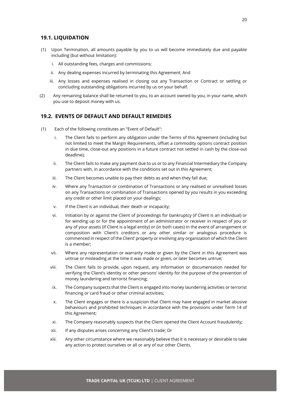#### <span id="page-20-0"></span>**19.1. LIQUIDATION**

- (1) Upon Termination, all amounts payable by you to us will become immediately due and payable including (but without limitation):
	- i. All outstanding fees, charges and commissions;
	- ii. Any dealing expenses incurred by terminating this Agreement; And
	- iii. Any losses and expenses realised in closing out any Transaction or Contract or settling or concluding outstanding obligations incurred by us on your behalf.
- (2) Any remaining balance shall be returned to you, to an account owned by you, in your name, which you use to deposit money with us.

#### <span id="page-20-1"></span>**19.2. EVENTS OF DEFAULT AND DEFAULT REMEDIES**

- (1) Each of the following constitutes an "Event of Default":
	- i. The Client fails to perform any obligation under the Terms of this Agreement (including but not limited to meet the Margin Requirements, offset a commodity options contract position in due time, close-out any positions in a future contract not settled in cash by the close-out deadline);
	- ii. The Client fails to make any payment due to us or to any Financial Intermediary the Company partners with, in accordance with the conditions set out in this Agreement;
	- iii. The Client becomes unable to pay their debts as and when they fall due;
	- iv. Where any Transaction or combination of Transactions or any realised or unrealised losses on any Transactions or combination of Transactions opened by you results in you exceeding any credit or other limit placed on your dealings;
	- v. If the Client is an individual, their death or incapacity;
	- vi. Initiation by or against the Client of proceedings for bankruptcy (if Client is an individual) or for winding up or for the appointment of an administrator or receiver in respect of you or any of your assets (if Client is a legal entity) or (in both cases) in the event of arrangement or composition with Client's creditors or any other similar or analogous procedure is commenced in respect of the Client' property or involving any organization of which the Client is a member;
	- vii. Where any representation or warranty made or given by the Client in this Agreement was untrue or misleading at the time it was made or given, or later becomes untrue;
	- viii. The Client fails to provide, upon request, any information or documentation needed for verifying the Client's identity or other persons' identity for the purpose of the prevention of money laundering and terrorist financing;
	- ix. The Company suspects that the Client is engaged into money laundering activities or terrorist financing or card fraud or other criminal activities;
	- x. The Client engages or there is a suspicion that Client may have engaged in market abusive behaviours and prohibited techniques in accordance with the provisions under Term 14 of this Agreement;
	- xi. The Company reasonably suspects that the Client opened the Client Account fraudulently;
	- xii. If any disputes arises concerning any Client's trade; Or
	- xiii. Any other circumstance where we reasonably believe that it is necessary or desirable to take any action to protect ourselves or all or any of our other Clients.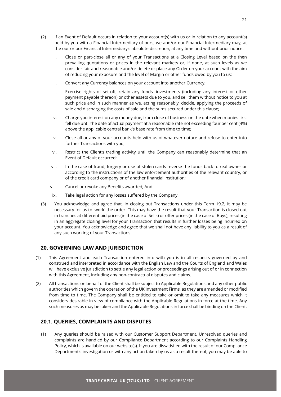- (2) If an Event of Default occurs in relation to your account(s) with us or in relation to any account(s) held by you with a Financial Intermediary of ours, we and/or our Financial Intermediary may, at the our or our Financial Intermediary's absolute discretion, at any time and without prior notice:
	- i. Close or part-close all or any of your Transactions at a Closing Level based on the then prevailing quotations or prices in the relevant markets or, if none, at such levels as we consider fair and reasonable and/or delete or place any Order on your account with the aim of reducing your exposure and the level of Margin or other funds owed by you to us;
	- ii. Convert any Currency balances on your account into another Currency;
	- iii. Exercise rights of set-off, retain any funds, investments (including any interest or other payment payable thereon) or other assets due to you, and sell them without notice to you at such price and in such manner as we, acting reasonably, decide, applying the proceeds of sale and discharging the costs of sale and the sums secured under this clause;
	- iv. Charge you interest on any money due, from close of business on the date when monies first fell due until the date of actual payment at a reasonable rate not exceeding four per cent (4%) above the applicable central bank's base rate from time to time;
	- v. Close all or any of your accounts held with us of whatever nature and refuse to enter into further Transactions with you;
	- vi. Restrict the Client's trading activity until the Company can reasonably determine that an Event of Default occurred;
	- vii. In the case of fraud, forgery or use of stolen cards reverse the funds back to real owner or according to the instructions of the law enforcement authorities of the relevant country, or of the credit card company or of another financial institution;
	- viii. Cancel or revoke any Benefits awarded; And
	- ix. Take legal action for any losses suffered by the Company.
- (3) You acknowledge and agree that, in closing out Transactions under this Term 19.2, it may be necessary for us to 'work' the order. This may have the result that your Transaction is closed out in tranches at different bid prices (in the case of Sells) or offer prices (in the case of Buys), resulting in an aggregate closing level for your Transaction that results in further losses being incurred on your account. You acknowledge and agree that we shall not have any liability to you as a result of any such working of your Transactions.

#### <span id="page-21-0"></span>**20. GOVERNING LAW AND JURISDICTION**

- (1) This Agreement and each Transaction entered into with you is in all respects governed by and construed and interpreted in accordance with the English Law and the Courts of England and Wales will have exclusive jurisdiction to settle any legal action or proceedings arising out of or in connection with this Agreement, including any non-contractual disputes and claims.
- (2) All transactions on behalf of the Client shall be subject to Applicable Regulations and any other public authorities which govern the operation of the UK Investment Firms, as they are amended or modified from time to time. The Company shall be entitled to take or omit to take any measures which it considers desirable in view of compliance with the Applicable Regulations in force at the time. Any such measures as may be taken and the Applicable Regulations in force shall be binding on the Client.

# <span id="page-21-1"></span>**20.1. QUERIES, COMPLAINTS AND DISPUTES**

(1) Any queries should be raised with our Customer Support Department. Unresolved queries and complaints are handled by our Compliance Department according to our Complaints Handling Policy, which is available on our website(s). If you are dissatisfied with the result of our Compliance Department's investigation or with any action taken by us as a result thereof, you may be able to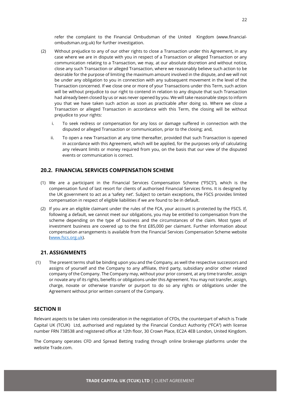refer the complaint to the Financial Ombudsman of the United Kingdom (www.financialombudsman.org.uk) for further investigation.

- (2) Without prejudice to any of our other rights to close a Transaction under this Agreement, in any case where we are in dispute with you in respect of a Transaction or alleged Transaction or any communication relating to a Transaction, we may, at our absolute discretion and without notice, close any such Transaction or alleged Transaction, where we reasonably believe such action to be desirable for the purpose of limiting the maximum amount involved in the dispute, and we will not be under any obligation to you in connection with any subsequent movement in the level of the Transaction concerned. If we close one or more of your Transactions under this Term, such action will be without prejudice to our right to contend in relation to any dispute that such Transaction had already been closed by us or was never opened by you. We will take reasonable steps to inform you that we have taken such action as soon as practicable after doing so. Where we close a Transaction or alleged Transaction in accordance with this Term, the closing will be without prejudice to your rights:
	- i. To seek redress or compensation for any loss or damage suffered in connection with the disputed or alleged Transaction or communication, prior to the closing; and,
	- ii. To open a new Transaction at any time thereafter, provided that such Transaction is opened in accordance with this Agreement, which will be applied, for the purposes only of calculating any relevant limits or money required from you, on the basis that our view of the disputed events or communication is correct.

#### <span id="page-22-0"></span>**20.2. FINANCIAL SERVICES COMPENSATION SCHEME**

- (1) We are a participant in the Financial Services Compensation Scheme ("FSCS"), which is the compensation fund of last resort for clients of authorised Financial Services firms. It is designed by the UK government to act as a 'safety net'. Subject to certain exceptions, the FSCS provides limited compensation in respect of eligible liabilities if we are found to be in default.
- (2) If you are an eligible claimant under the rules of the FCA, your account is protected by the FSCS. If, following a default, we cannot meet our obligations, you may be entitled to compensation from the scheme depending on the type of business and the circumstances of the claim. Most types of investment business are covered up to the first £85,000 per claimant. Further information about compensation arrangements is available from the Financial Services Compensation Scheme website [\(www.fscs.org.uk\)](http://www.fscs.org.uk/).

#### <span id="page-22-1"></span>**21. ASSIGNMENTS**

(1) The present terms shall be binding upon you and the Company, as well the respective successors and assigns of yourself and the Company to any affiliate, third party, subsidiary and/or other related company of the Company. The Company may, without your prior consent, at any time transfer, assign or novate any of its rights, benefits or obligations under this Agreement. You may not transfer, assign, charge, novate or otherwise transfer or purport to do so any rights or obligations under the Agreement without prior written consent of the Company.

# <span id="page-22-2"></span>**SECTION II**

Relevant aspects to be taken into consideration in the negotiation of CFDs, the counterpart of which is Trade Capital UK (TCUK) Ltd, authorised and regulated by the Financial Conduct Authority ("FCA") with license number FRN 738538 and registered office at 12th floor, 30 Crown Place, EC2A 4EB London, United Kingdom.

The Company operates CFD and Spread Betting trading through online brokerage platforms under the website Trade.com.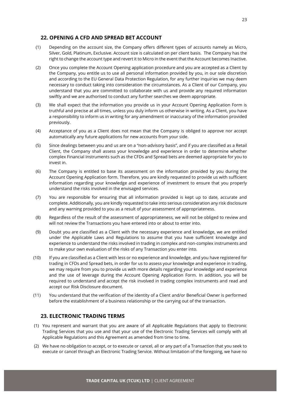#### <span id="page-23-0"></span>**22. OPENING A CFD AND SPREAD BET ACCOUNT**

- (1) Depending on the account size, the Company offers different types of accounts namely as Micro, Silver, Gold, Platinum, Exclusive. Account size is calculated on per client basis. The Company has the right to change the account type and revert it to Micro in the event that the Account becomes Inactive.
- (2) Once you complete the Account Opening application procedure and you are accepted as a Client by the Company, you entitle us to use all personal information provided by you, in our sole discretion and according to the EU General Data Protection Regulation, for any further inquiries we may deem necessary to conduct taking into consideration the circumstances. As a Client of our Company, you understand that you are committed to collaborate with us and provide any required information swiftly and we are authorised to conduct any further searches we deem appropriate.
- (3) We shall expect that the information you provide us in your Account Opening Application Form is truthful and precise at all times, unless you duly inform us otherwise in writing. As a Client, you have a responsibility to inform us in writing for any amendment or inaccuracy of the information provided previously.
- (4) Acceptance of you as a Client does not mean that the Company is obliged to approve nor accept automatically any future applications for new accounts from your side.
- (5) Since dealings between you and us are on a "non-advisory basis", and if you are classified as a Retail Client, the Company shall assess your knowledge and experience in order to determine whether complex Financial Instruments such as the CFDs and Spread bets are deemed appropriate for you to invest in.
- (6) The Company is entitled to base its assessment on the information provided by you during the Account Opening Application form. Therefore, you are kindly requested to provide us with sufficient information regarding your knowledge and experience of investment to ensure that you properly understand the risks involved in the envisaged services.
- (7) You are responsible for ensuring that all information provided is kept up to date, accurate and complete. Additionally, you are kindly requested to take into serious consideration any risk disclosure and any warning provided to you as a result of your assessment of appropriateness.
- (8) Regardless of the result of the assessment of appropriateness, we will not be obliged to review and will not review the Transactions you have entered into or about to enter into.
- (9) Doubt you are classified as a Client with the necessary experience and knowledge, we are entitled under the Applicable Laws and Regulations to assume that you have sufficient knowledge and experience to understand the risks involved in trading in complex and non-complex instruments and to make your own evaluation of the risks of any Transaction you enter into.
- (10) If you are classified as a Client with less or no experience and knowledge, and you have registered for trading in CFDs and Spread bets, in order for us to assess your knowledge and experience in trading, we may require from you to provide us with more details regarding your knowledge and experience and the use of leverage during the Account Opening Application Form. In addition, you will be required to understand and accept the risk involved in trading complex instruments and read and accept our Risk Disclosure document.
- (11) You understand that the verification of the identity of a Client and/or Beneficial Owner is performed before the establishment of a business relationship or the carrying out of the transaction.

#### <span id="page-23-1"></span>**23. ELECTRONIC TRADING TERMS**

- (1) You represent and warrant that you are aware of all Applicable Regulations that apply to Electronic Trading Services that you use and that your use of the Electronic Trading Services will comply with all Applicable Regulations and this Agreement as amended from time to time.
- (2) We have no obligation to accept, or to execute or cancel, all or any part of a Transaction that you seek to execute or cancel through an Electronic Trading Service. Without limitation of the foregoing, we have no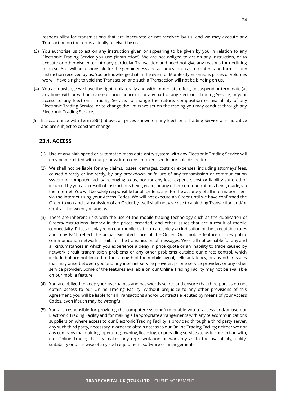responsibility for transmissions that are inaccurate or not received by us, and we may execute any Transaction on the terms actually received by us.

- (3) You authorise us to act on any instruction given or appearing to be given by you in relation to any Electronic Trading Service you use ('Instruction'). We are not obliged to act on any Instruction, or to execute or otherwise enter into any particular Transaction and need not give any reasons for declining to do so. You will be responsible for the genuineness and accuracy, both as to content and form, of any Instruction received by us. You acknowledge that in the event of Manifestly Erroneous prices or volumes we will have a right to void the Transaction and such a Transaction will not be binding on us.
- (4) You acknowledge we have the right, unilaterally and with immediate effect, to suspend or terminate (at any time, with or without cause or prior notice) all or any part of any Electronic Trading Service, or your access to any Electronic Trading Service, to change the nature, composition or availability of any Electronic Trading Service, or to change the limits we set on the trading you may conduct through any Electronic Trading Service.
- (5) In accordance with Term 23(4) above, all prices shown on any Electronic Trading Service are indicative and are subject to constant change.

#### <span id="page-24-0"></span>**23.1. ACCESS**

- (1) Use of any high speed or automated mass data entry system with any Electronic Trading Service will only be permitted with our prior written consent exercised in our sole discretion.
- (2) We shall not be liable for any claims, losses, damages, costs or expenses, including attorneys fees, caused directly or indirectly, by any breakdown or failure of any transmission or communication system or computer facility belonging to us, nor for any loss, expense, cost or liability suffered or incurred by you as a result of Instructions being given, or any other communications being made, via the Internet. You will be solely responsible for all Orders, and for the accuracy of all information, sent via the Internet using your Access Codes. We will not execute an Order until we have confirmed the Order to you and transmission of an Order by itself shall not give rise to a binding Transaction and/or Contract between you and us.
- (3) There are inherent risks with the use of the mobile trading technology such as the duplication of Orders/Instructions, latency in the prices provided, and other issues that are a result of mobile connectivity. Prices displayed on our mobile platform are solely an indication of the executable rates and may NOT reflect the actual executed price of the Order. Our mobile feature utilizes public communication network circuits for the transmission of messages. We shall not be liable for any and all circumstances in which you experience a delay in price quote or an inability to trade caused by network circuit transmission problems or any other problems outside our direct control, which include but are not limited to the strength of the mobile signal, cellular latency, or any other issues that may arise between you and any internet service provider, phone service provider, or any other service provider. Some of the features available on our Online Trading Facility may not be available on our mobile feature.
- (4) You are obliged to keep your usernames and passwords secret and ensure that third parties do not obtain access to our Online Trading Facility. Without prejudice to any other provisions of this Agreement, you will be liable for all Transactions and/or Contracts executed by means of your Access Codes, even if such may be wrongful.
- (5) You are responsible for providing the computer system(s) to enable you to access and/or use our Electronic Trading Facility and for making all appropriate arrangements with any telecommunications suppliers or, where access to our Electronic Trading Facility is provided through a third party server, any such third party, necessary in order to obtain access to our Online Trading Facility; neither we nor any company maintaining, operating, owning, licensing, or providing services to us in connection with, our Online Trading Facility makes any representation or warranty as to the availability, utility, suitability or otherwise of any such equipment, software or arrangements.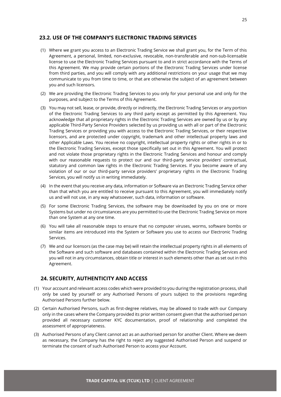# <span id="page-25-0"></span>**23.2. USE OF THE COMPANY'S ELECTRONIC TRADING SERVICES**

- (1) Where we grant you access to an Electronic Trading Service we shall grant you, for the Term of this Agreement, a personal, limited, non-exclusive, revocable, non-transferable and non-sub-licensable license to use the Electronic Trading Services pursuant to and in strict accordance with the Terms of this Agreement. We may provide certain portions of the Electronic Trading Services under license from third parties, and you will comply with any additional restrictions on your usage that we may communicate to you from time to time, or that are otherwise the subject of an agreement between you and such licensors.
- (2) We are providing the Electronic Trading Services to you only for your personal use and only for the purposes, and subject to the Terms of this Agreement.
- (3) You may not sell, lease, or provide, directly or indirectly, the Electronic Trading Services or any portion of the Electronic Trading Services to any third party except as permitted by this Agreement. You acknowledge that all proprietary rights in the Electronic Trading Services are owned by us or by any applicable Third-Party Service Providers selected by us providing us with all or part of the Electronic Trading Services or providing you with access to the Electronic Trading Services, or their respective licensors, and are protected under copyright, trademark and other intellectual property laws and other Applicable Laws. You receive no copyright, intellectual property rights or other rights in or to the Electronic Trading Services, except those specifically set out in this Agreement. You will protect and not violate those proprietary rights in the Electronic Trading Services and honour and comply with our reasonable requests to protect our and our third-party service providers' contractual, statutory and common law rights in the Electronic Trading Services. If you become aware of any violation of our or our third-party service providers' proprietary rights in the Electronic Trading Services, you will notify us in writing immediately.
- (4) In the event that you receive any data, information or Software via an Electronic Trading Service other than that which you are entitled to receive pursuant to this Agreement, you will immediately notify us and will not use, in any way whatsoever, such data, information or software.
- (5) For some Electronic Trading Services, the software may be downloaded by you on one or more Systems but under no circumstances are you permitted to use the Electronic Trading Service on more than one System at any one time.
- (6) You will take all reasonable steps to ensure that no computer viruses, worms, software bombs or similar items are introduced into the System or Software you use to access our Electronic Trading Services.
- (7) We and our licensors (as the case may be) will retain the intellectual property rights in all elements of the Software and such software and databases contained within the Electronic Trading Services and you will not in any circumstances, obtain title or interest in such elements other than as set out in this Agreement.

#### <span id="page-25-1"></span>**24. SECURITY, AUTHENTICITY AND ACCESS**

- (1) Your account and relevant access codes which were provided to you during the registration process, shall only be used by yourself or any Authorised Persons of yours subject to the provisions regarding Authorised Persons further below.
- (2) Certain Authorised Persons, such as first-degree relatives, may be allowed to trade with our Company only in the cases where the Company provided its prior written consent given that the authorised person provided all necessary customer KYC documentation, proof of relationship and completed the assessment of appropriateness.
- (3) Authorised Persons of any Client cannot act as an authorised person for another Client. Where we deem as necessary, the Company has the right to reject any suggested Authorised Person and suspend or terminate the consent of such Authorised Person to access your Account.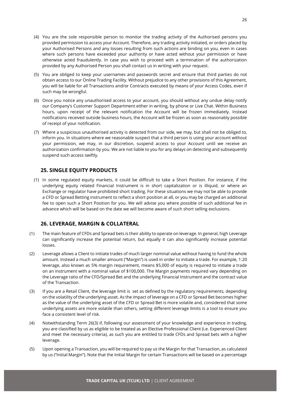- (4) You are the sole responsible person to monitor the trading activity of the Authorised persons you provided permission to access your Account. Therefore, any trading activity initiated, or orders placed by your Authorised Persons and any losses resulting from such actions are binding on you, even in cases where such persons have exceeded your authority or have acted without your permission or have otherwise acted fraudulently. In case you wish to proceed with a termination of the authorization provided by any Authorised Person you shall contact us in writing with your request.
- (5) You are obliged to keep your usernames and passwords secret and ensure that third parties do not obtain access to our Online Trading Facility. Without prejudice to any other provisions of this Agreement, you will be liable for all Transactions and/or Contracts executed by means of your Access Codes, even if such may be wrongful.
- (6) Once you notice any unauthorised access to your account, you should without any undue delay notify our Company's Customer Support Department either in writing, by phone or Live Chat. Within Business hours, upon receipt of the relevant notification the Account will be frozen immediately. Instead notifications received outside business hours, the Account will be frozen as soon as reasonably possible of receipt of your notification.
- (7) Where a suspicious unauthorised activity is detected from our side, we may, but shall not be obliged to, inform you. In situations where we reasonable suspect that a third person is using your account without your permission, we may, in our discretion, suspend access to your Account until we receive an authorization confirmation by you. We are not liable to you for any delays on detecting and subsequently suspend such access swiftly.

# <span id="page-26-0"></span>**25. SINGLE EQUITY PRODUCTS**

(1) In some regulated equity markets, it could be difficult to take a Short Position. For instance, if the underlying equity related Financial Instrument is in short capitalization or is illiquid, or where an Exchange or regulator have prohibited short trading. For these situations we may not be able to provide a CFD or Spread Betting instrument to reflect a short position at all, or you may be charged an additional fee to open such a Short Position for you. We will advise you where possible of such additional fee in advance which will be based on the date we will become aware of such short selling exclusions.

# <span id="page-26-1"></span>**26. LEVERAGE, MARGIN & COLLATERAL**

- (1) The main feature of CFDs and Spread bets is their ability to operate on leverage. In general, high Leverage can significantly increase the potential return, but equally it can also significantly increase potential losses.
- (2) Leverage allows a Client to initiate trades of much larger nominal value without having to fund the whole amount. Instead a much smaller amount ("Margin") is used in order to initiate a trade. For example, 1:20 leverage, also known as 5% margin requirement, means \$5,000 of equity is required to initiate a trade on an instrument with a nominal value of \$100,000. The Margin payments required vary depending on the Leverage ratio of the CFD/Spread Bet and the underlying Financial Instrument and the contract value of the Transaction.
- (3) If you are a Retail Client, the leverage limit is set as defined by the regulatory requirements, depending on the volatility of the underlying asset. As the impact of leverage on a CFD or Spread Bet becomes higher as the value of the underlying asset of the CFD or Spread Bet is more volatile and, considered that some underlying assets are more volatile than others, setting different leverage limits is a tool to ensure you face a consistent level of risk.
- (4) Notwithstanding Term 26(3) if, following our assessment of your knowledge and experience in trading, you are classified by us as eligible to be treated as an Elective Professional Client (i.e. Experienced Client and meet the necessary criteria), as such you are entitled to trade CFDs and Spread bets with a higher leverage.
- (5) Upon opening a Transaction, you will be required to pay us the Margin for that Transaction, as calculated by us ("Initial Margin"). Note that the Initial Margin for certain Transactions will be based on a percentage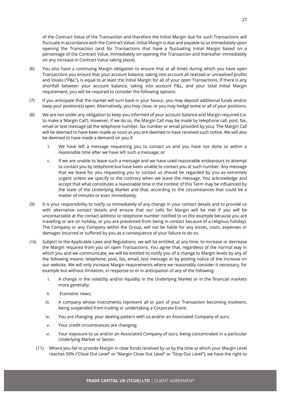of the Contract Value of the Transaction and therefore the Initial Margin due for such Transactions will fluctuate in accordance with the Contract Value. Initial Margin is due and payable to us immediately upon opening the Transaction (and for Transactions that have a fluctuating Initial Margin based on a percentage of the Contract Value, immediately on opening the Transaction and thereafter immediately on any increase in Contract Value taking place).

- (6) You also have a continuing Margin obligation to ensure that at all times during which you have open Transactions you ensure that your account balance, taking into account all realised or unrealised profits and losses ("P&L"), is equal to at least the Initial Margin for all of your open Transactions. If there is any shortfall between your account balance, taking into account P&L, and your total Initial Margin requirement, you will be required to consider the following options:
- (7) If you anticipate that the market will turn back in your favour, you may deposit additional funds and/or keep your position(s) open. Alternatively, you may close, or you may hedge some or all of your positions.
- (8) We are not under any obligation to keep you informed of your account balance and Margin required (i.e. to make a 'Margin Call'). However, if we do so, the Margin Call may be made by telephone call, post, fax, email or text message (at the telephone number, fax number or email provided by you). The Margin Call will be deemed to have been made as soon as you are deemed to have received such notice. We will also be deemed to have made a demand on you if:
	- i. We have left a message requesting you to contact us and you have not done so within a reasonable time after we have left such a message; or
	- ii. If we are unable to leave such a message and we have used reasonable endeavours to attempt to contact you by telephone but have been unable to contact you at such number. Any message that we leave for you requesting you to contact us should be regarded by you as extremely urgent unless we specify to the contrary when we leave the message. You acknowledge and accept that what constitutes a reasonable time in the context of this Term may be influenced by the state of the Underlying Market and that, according to the circumstances that could be a matter of minutes or even immediately.
- (9) It is your responsibility to notify us immediately of any change in your contact details and to provide us with alternative contact details and ensure that our calls for Margin will be met if you will be uncontactable at the contact address or telephone number notified to us (for example because you are travelling or are on holiday, or you are prevented from being in contact because of a religious holiday). The Company or any Company within the Group, will not be liable for any losses, costs, expenses or damages incurred or suffered by you as a consequence of your failure to do so.
- (10) Subject to the Applicable Laws and Regulations, we will be entitled, at any time, to increase or decrease the Margin required from you on open Transactions. You agree that, regardless of the normal way in which you and we communicate, we will be entitled to notify you of a change to Margin levels by any of the following means: telephone, post, fax, email, text message or by posting notice of the increase on our website. We will only increase Margin requirements where we reasonably consider it necessary, for example but without limitation, in response to or in anticipation of any of the following:
	- i. A change in the volatility and/or liquidity in the Underlying Market or in the financial markets more generally;
	- ii. Economic news;
	- iii. A company whose Instruments represent all or part of your Transaction becoming insolvent, being suspended from trading or undertaking a Corporate Event;
	- iv. You are changing your dealing pattern with us and/or an Associated Company of ours;
	- v. Your credit circumstances are changing;
	- vi. Your exposure to us and/or an Associated Company of ours; being concentrated in a particular Underlying Market or Sector.
	- (11) Where you fail to provide Margin in clear funds received by us by the time at which your Margin Level reaches 50% ("Close Out Level" or "Margin Close Out Level" or "Stop Out Level"), we have the right to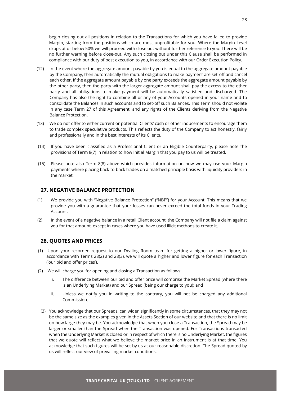begin closing out all positions in relation to the Transactions for which you have failed to provide Margin, starting from the positions which are most unprofitable for you. Where the Margin Level drops at or below 50% we will proceed with close out without further reference to you. There will be no further warning before close-out. Any such closing out under this Clause shall be performed in compliance with our duty of best execution to you, in accordance with our Order Execution Policy.

- (12) In the event where the aggregate amount payable by you is equal to the aggregate amount payable by the Company, then automatically the mutual obligations to make payment are set-off and cancel each other. If the aggregate amount payable by one party exceeds the aggregate amount payable by the other party, then the party with the larger aggregate amount shall pay the excess to the other party and all obligations to make payment will be automatically satisfied and discharged. The Company has also the right to combine all or any of your Accounts opened in your name and to consolidate the Balances in such accounts and to set-off such Balances. This Term should not violate in any case Term 27 of this Agreement, and any rights of the Clients deriving from the Negative Balance Protection.
- (13) We do not offer to either current or potential Clients' cash or other inducements to encourage them to trade complex speculative products. This reflects the duty of the Company to act honestly, fairly and professionally and in the best interests of its Clients.
- (14) If you have been classified as a Professional Client or an Eligible Counterparty, please note the provisions of Term 8(7) in relation to how Initial Margin that you pay to us will be treated.
- (15) Please note also Term 8(8) above which provides information on how we may use your Margin payments where placing back-to-back trades on a matched principle basis with liquidity providers in the market.

#### <span id="page-28-0"></span>**27. NEGATIVE BALANCE PROTECTION**

- (1) We provide you with "Negative Balance Protection" ("NBP") for your Account. This means that we provide you with a guarantee that your losses can never exceed the total funds in your Trading Account.
- (2) In the event of a negative balance in a retail Client account, the Company will not file a claim against you for that amount, except in cases where you have used illicit methods to create it.

#### <span id="page-28-1"></span>**28. QUOTES AND PRICES**

- (1) Upon your recorded request to our Dealing Room team for getting a higher or lower figure, in accordance with Terms 28(2) and 28(3), we will quote a higher and lower figure for each Transaction ('our bid and offer prices').
- (2) We will charge you for opening and closing a Transaction as follows:
	- i. The difference between our bid and offer price will comprise the Market Spread (where there is an Underlying Market) and our Spread (being our charge to you); and
	- ii. Unless we notify you in writing to the contrary, you will not be charged any additional Commission.
	- (3) You acknowledge that our Spreads, can widen significantly in some circumstances, that they may not be the same size as the examples given in the Assets Section of our website and that there is no limit on how large they may be. You acknowledge that when you close a Transaction, the Spread may be larger or smaller than the Spread when the Transaction was opened. For Transactions transacted when the Underlying Market is closed or in respect of which there is no Underlying Market, the figures that we quote will reflect what we believe the market price in an Instrument is at that time. You acknowledge that such figures will be set by us at our reasonable discretion. The Spread quoted by us will reflect our view of prevailing market conditions.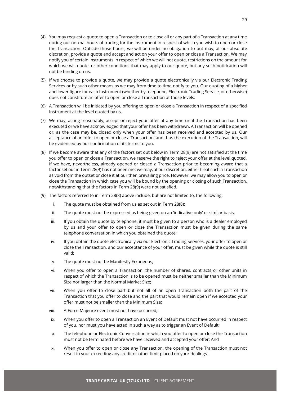- (4) You may request a quote to open a Transaction or to close all or any part of a Transaction at any time during our normal hours of trading for the Instrument in respect of which you wish to open or close the Transaction. Outside those hours, we will be under no obligation to but may, at our absolute discretion, provide a quote and accept and act on your offer to open or close a Transaction. We may notify you of certain Instruments in respect of which we will not quote, restrictions on the amount for which we will quote, or other conditions that may apply to our quote, but any such notification will not be binding on us.
- (5) If we choose to provide a quote, we may provide a quote electronically via our Electronic Trading Services or by such other means as we may from time to time notify to you. Our quoting of a higher and lower figure for each Instrument (whether by telephone, Electronic Trading Service, or otherwise) does not constitute an offer to open or close a Transaction at those levels.
- (6) A Transaction will be initiated by you offering to open or close a Transaction in respect of a specified Instrument at the level quoted by us.
- (7) We may, acting reasonably, accept or reject your offer at any time until the Transaction has been executed or we have acknowledged that your offer has been withdrawn. A Transaction will be opened or, as the case may be, closed only when your offer has been received and accepted by us. Our acceptance of an offer to open or close a Transaction, and thus the execution of the Transaction, will be evidenced by our confirmation of its terms to you.
- (8) If we become aware that any of the factors set out below in Term 28(9) are not satisfied at the time you offer to open or close a Transaction, we reserve the right to reject your offer at the level quoted. If we have, nevertheless, already opened or closed a Transaction prior to becoming aware that a factor set out in Term 28(9) has not been met we may, at our discretion, either treat such a Transaction as void from the outset or close it at our then prevailing price. However, we may allow you to open or close the Transaction in which case you will be bound by the opening or closing of such Transaction, notwithstanding that the factors in Term 28(9) were not satisfied.
- (9) The factors referred to in Term 28(8) above include, but are not limited to, the following:
	- i. The quote must be obtained from us as set out in Term 28(8);
	- ii. The quote must not be expressed as being given on an 'indicative only' or similar basis;
	- iii. If you obtain the quote by telephone, it must be given to a person who is a dealer employed by us and your offer to open or close the Transaction must be given during the same telephone conversation in which you obtained the quote;
	- iv. If you obtain the quote electronically via our Electronic Trading Services, your offer to open or close the Transaction, and our acceptance of your offer, must be given while the quote is still valid;
	- v. The quote must not be Manifestly Erroneous;
	- vi. When you offer to open a Transaction, the number of shares, contracts or other units in respect of which the Transaction is to be opened must be neither smaller than the Minimum Size nor larger than the Normal Market Size;
	- vii. When you offer to close part but not all of an open Transaction both the part of the Transaction that you offer to close and the part that would remain open if we accepted your offer must not be smaller than the Minimum Size;
	- viii. A Force Majeure event must not have occurred;
	- ix. When you offer to open a Transaction an Event of Default must not have occurred in respect of you, nor must you have acted in such a way as to trigger an Event of Default;
	- x. The telephone or Electronic Conversation in which you offer to open or close the Transaction must not be terminated before we have received and accepted your offer; And
	- xi. When you offer to open or close any Transaction, the opening of the Transaction must not result in your exceeding any credit or other limit placed on your dealings.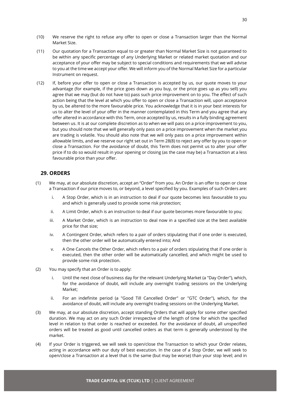- (10) We reserve the right to refuse any offer to open or close a Transaction larger than the Normal Market Size.
- (11) Our quotation for a Transaction equal to or greater than Normal Market Size is not guaranteed to be within any specific percentage of any Underlying Market or related market quotation and our acceptance of your offer may be subject to special conditions and requirements that we will advise to you at the time we accept your offer. We will inform you of the Normal Market Size for a particular Instrument on request.
- (12) If, before your offer to open or close a Transaction is accepted by us, our quote moves to your advantage (for example, if the price goes down as you buy, or the price goes up as you sell) you agree that we may (but do not have to) pass such price improvement on to you. The effect of such action being that the level at which you offer to open or close a Transaction will, upon acceptance by us, be altered to the more favourable price. You acknowledge that it is in your best interests for us to alter the level of your offer in the manner contemplated in this Term and you agree that any offer altered in accordance with this Term, once accepted by us, results in a fully binding agreement between us. It is at our complete discretion as to when we will pass on a price improvement to you, but you should note that we will generally only pass on a price improvement when the market you are trading is volatile. You should also note that we will only pass on a price improvement within allowable limits, and we reserve our right set out in Term 28(8) to reject any offer by you to open or close a Transaction. For the avoidance of doubt, this Term does not permit us to alter your offer price if to do so would result in your opening or closing (as the case may be) a Transaction at a less favourable price than your offer.

# <span id="page-30-0"></span>**29. ORDERS**

- (1) We may, at our absolute discretion, accept an "Order" from you. An Order is an offer to open or close a Transaction if our price moves to, or beyond, a level specified by you. Examples of such Orders are:
	- i. A Stop Order, which is in an instruction to deal if our quote becomes less favourable to you and which is generally used to provide some risk protection;
	- ii. A Limit Order, which is an instruction to deal if our quote becomes more favourable to you;
	- iii. A Market Order, which is an instruction to deal now in a specified size at the best available price for that size;
	- iv. A Contingent Order, which refers to a pair of orders stipulating that if one order is executed, then the other order will be automatically entered into; And
	- v. A One Cancels the Other Order, which refers to a pair of orders stipulating that if one order is executed, then the other order will be automatically cancelled, and which might be used to provide some risk protection.
- (2) You may specify that an Order is to apply:
	- i. Until the next close of business day for the relevant Underlying Market (a "Day Order"), which, for the avoidance of doubt, will include any overnight trading sessions on the Underlying Market;
	- ii. For an indefinite period (a "Good Till Cancelled Order" or "GTC Order"), which, for the avoidance of doubt, will include any overnight trading sessions on the Underlying Market.
- (3) We may, at our absolute discretion, accept standing Orders that will apply for some other specified duration. We may act on any such Order irrespective of the length of time for which the specified level in relation to that order is reached or exceeded. For the avoidance of doubt, all unspecified orders will be treated as good until cancelled orders as that term is generally understood by the market.
- (4) If your Order is triggered, we will seek to open/close the Transaction to which your Order relates, acting in accordance with our duty of best execution. In the case of a Stop Order, we will seek to open/close a Transaction at a level that is the same (but may be worse) than your stop level; and in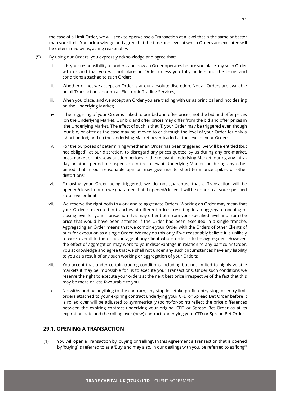the case of a Limit Order, we will seek to open/close a Transaction at a level that is the same or better than your limit. You acknowledge and agree that the time and level at which Orders are executed will be determined by us, acting reasonably.

- (5) By using our Orders, you expressly acknowledge and agree that:
	- i. It is your responsibility to understand how an Order operates before you place any such Order with us and that you will not place an Order unless you fully understand the terms and conditions attached to such Order;
	- ii. Whether or not we accept an Order is at our absolute discretion. Not all Orders are available on all Transactions, nor on all Electronic Trading Services;
	- iii. When you place, and we accept an Order you are trading with us as principal and not dealing on the Underlying Market;
	- iv. The triggering of your Order is linked to our bid and offer prices, not the bid and offer prices on the Underlying Market. Our bid and offer prices may differ from the bid and offer prices in the Underlying Market. The effect of such is that (i) your Order may be triggered even though our bid, or offer as the case may be, moved to or through the level of your Order for only a short period; and (ii) the Underlying Market never traded at the level of your Order;
	- v. For the purposes of determining whether an Order has been triggered, we will be entitled (but not obliged), at our discretion, to disregard any prices quoted by us during any pre-market, post-market or intra-day auction periods in the relevant Underlying Market, during any intraday or other period of suspension in the relevant Underlying Market, or during any other period that in our reasonable opinion may give rise to short-term price spikes or other distortions;
	- vi. Following your Order being triggered, we do not guarantee that a Transaction will be opened/closed, nor do we guarantee that if opened/closed it will be done so at your specified stop level or limit;
	- vii. We reserve the right both to work and to aggregate Orders. Working an Order may mean that your Order is executed in tranches at different prices, resulting in an aggregate opening or closing level for your Transaction that may differ both from your specified level and from the price that would have been attained if the Order had been executed in a single tranche. Aggregating an Order means that we combine your Order with the Orders of other Clients of ours for execution as a single Order. We may do this only if we reasonably believe it is unlikely to work overall to the disadvantage of any Client whose order is to be aggregated. However, the effect of aggregation may work to your disadvantage in relation to any particular Order. You acknowledge and agree that we shall not under any such circumstances have any liability to you as a result of any such working or aggregation of your Orders;
	- viii. You accept that under certain trading conditions including but not limited to highly volatile markets it may be impossible for us to execute your Transactions. Under such conditions we reserve the right to execute your orders at the next best price irrespective of the fact that this may be more or less favourable to you.
	- ix. Notwithstanding anything to the contrary, any stop loss/take profit, entry stop, or entry limit orders attached to your expiring contract underlying your CFD or Spread Bet Order before it is rolled over will be adjusted to symmetrically (point-for-point) reflect the price differences between the expiring contract underlying your original CFD or Spread Bet Order as at its expiration date and the rolling over (new) contract underlying your CFD or Spread Bet Order.

# <span id="page-31-0"></span>**29.1. OPENING A TRANSACTION**

(1) You will open a Transaction by 'buying' or 'selling'. In this Agreement a Transaction that is opened by 'buying' is referred to as a 'Buy' and may also, in our dealings with you, be referred to as 'long'"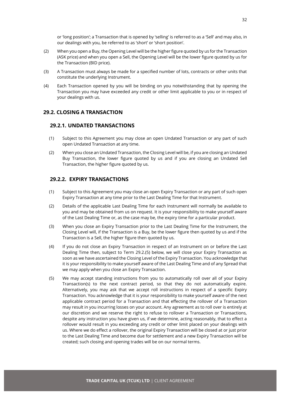or 'long position'; a Transaction that is opened by 'selling' is referred to as a 'Sell' and may also, in our dealings with you, be referred to as 'short' or 'short position'.

- (2) When you open a Buy, the Opening Level will be the higher figure quoted by us for the Transaction (ASK price) and when you open a Sell, the Opening Level will be the lower figure quoted by us for the Transaction (BID price).
- (3) A Transaction must always be made for a specified number of lots, contracts or other units that constitute the underlying Instrument.
- (4) Each Transaction opened by you will be binding on you notwithstanding that by opening the Transaction you may have exceeded any credit or other limit applicable to you or in respect of your dealings with us.

# <span id="page-32-1"></span><span id="page-32-0"></span>**29.2. CLOSING A TRANSACTION**

#### **29.2.1. UNDATED TRANSACTIONS**

- (1) Subject to this Agreement you may close an open Undated Transaction or any part of such open Undated Transaction at any time.
- (2) When you close an Undated Transaction, the Closing Level will be, if you are closing an Undated Buy Transaction, the lower figure quoted by us and if you are closing an Undated Sell Transaction, the higher figure quoted by us.

#### <span id="page-32-2"></span>**29.2.2. EXPIRY TRANSACTIONS**

- (1) Subject to this Agreement you may close an open Expiry Transaction or any part of such open Expiry Transaction at any time prior to the Last Dealing Time for that Instrument.
- (2) Details of the applicable Last Dealing Time for each Instrument will normally be available to you and may be obtained from us on request. It is your responsibility to make yourself aware of the Last Dealing Time or, as the case may be, the expiry time for a particular product.
- (3) When you close an Expiry Transaction prior to the Last Dealing Time for the Instrument, the Closing Level will, if the Transaction is a Buy, be the lower figure then quoted by us and if the Transaction is a Sell, the higher figure then quoted by us.
- (4) If you do not close an Expiry Transaction in respect of an Instrument on or before the Last Dealing Time then, subject to Term 29.2.(5) below, we will close your Expiry Transaction as soon as we have ascertained the Closing Level of the Expiry Transaction. You acknowledge that it is your responsibility to make yourself aware of the Last Dealing Time and of any Spread that we may apply when you close an Expiry Transaction.
- (5) We may accept standing instructions from you to automatically roll over all of your Expiry Transaction(s) to the next contract period, so that they do not automatically expire. Alternatively, you may ask that we accept roll instructions in respect of a specific Expiry Transaction. You acknowledge that it is your responsibility to make yourself aware of the next applicable contract period for a Transaction and that effecting the rollover of a Transaction may result in you incurring losses on your account. Any agreement as to roll over is entirely at our discretion and we reserve the right to refuse to rollover a Transaction or Transactions, despite any instruction you have given us, if we determine, acting reasonably, that to effect a rollover would result in you exceeding any credit or other limit placed on your dealings with us. Where we do effect a rollover, the original Expiry Transaction will be closed at or just prior to the Last Dealing Time and become due for settlement and a new Expiry Transaction will be created; such closing and opening trades will be on our normal terms.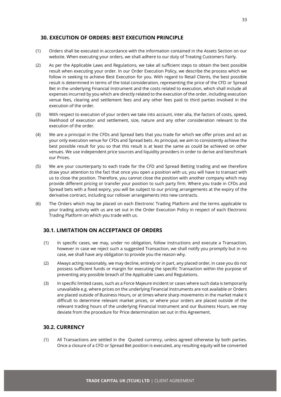#### <span id="page-33-0"></span>**30. EXECUTION OF ORDERS: BEST EXECUTION PRINCIPLE**

- (1) Orders shall be executed in accordance with the information contained in the Assets Section on our website. When executing your orders, we shall adhere to our duty of Treating Customers Fairly.
- (2) As per the Applicable Laws and Regulations, we take all sufficient steps to obtain the best possible result when executing your order. In our Order Execution Policy, we describe the process which we follow in seeking to achieve Best Execution for you. With regard to Retail Clients, the best possible result is determined in terms of the total consideration, representing the price of the CFD or Spread Bet in the underlying Financial Instrument and the costs related to execution, which shall include all expenses incurred by you which are directly related to the execution of the order, including execution venue fees, clearing and settlement fees and any other fees paid to third parties involved in the execution of the order.
- (3) With respect to execution of your orders we take into account, inter alia, the factors of costs, speed, likelihood of execution and settlement, size, nature and any other consideration relevant to the execution of the order.
- (4) We are a principal in the CFDs and Spread bets that you trade for which we offer prices and act as your only execution venue for CFDs and Spread bets. As principal, we aim to consistently achieve the best possible result for you so that this result is at least the same as could be achieved on other venues. We use independent price sources and liquidity providers in order to derive and benchmark our Prices.
- (5) We are your counterparty to each trade for the CFD and Spread Betting trading and we therefore draw your attention to the fact that once you open a position with us, you will have to transact with us to close the position. Therefore, you cannot close the position with another company which may provide different pricing or transfer your position to such party firm. Where you trade in CFDs and Spread bets with a fixed expiry, you will be subject to our pricing arrangements at the expiry of the derivative contract, including our rollover arrangements into new contracts.
- (6) The Orders which may be placed on each Electronic Trading Platform and the terms applicable to your trading activity with us are set out in the Order Execution Policy in respect of each Electronic Trading Platform on which you trade with us.

#### <span id="page-33-1"></span>**30.1. LIMITATION ON ACCEPTANCE OF ORDERS**

- (1) In specific cases, we may, under no obligation, follow instructions and execute a Transaction, however in case we reject such a suggested Transaction, we shall notify you promptly but in no case, we shall have any obligation to provide you the reason why.
- (2) Always acting reasonably, we may decline, entirely or in part, any placed order, in case you do not possess sufficient funds or margin for executing the specific Transaction within the purpose of preventing any possible breach of the Applicable Laws and Regulations.
- (3) In specific limited cases, such as a Force Majeure incident or cases where such data is temporarily unavailable e.g. where prices on the underlying Financial Instruments are not available or Orders are placed outside of Business Hours, or at times where sharp movements in the market make it difficult to determine relevant market prices, or where your orders are placed outside of the relevant trading hours of the underlying Financial Instrument and our Business Hours, we may deviate from the procedure for Price determination set out in this Agreement.

# <span id="page-33-2"></span>**30.2. CURRENCY**

(1) All Transactions are settled in the Quoted currency, unless agreed otherwise by both parties. Once a closure of a CFD or Spread Bet position is executed, any resulting equity will be converted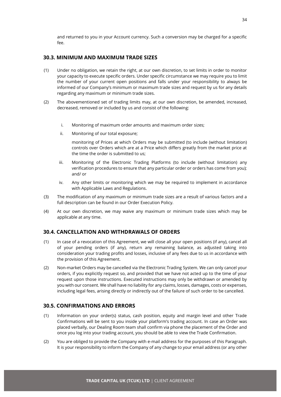and returned to you in your Account currency. Such a conversion may be charged for a specific fee.

#### <span id="page-34-0"></span>**30.3. MINIMUM AND MAXIMUM TRADE SIZES**

- (1) Under no obligation, we retain the right, at our own discretion, to set limits in order to monitor your capacity to execute specific orders. Under specific circumstance we may require you to limit the number of your current open positions and falls under your responsibility to always be informed of our Company's minimum or maximum trade sizes and request by us for any details regarding any maximum or minimum trade sizes.
- (2) The abovementioned set of trading limits may, at our own discretion, be amended, increased, decreased, removed or included by us and consist of the following:
	- i. Monitoring of maximum order amounts and maximum order sizes;
	- ii. Monitoring of our total exposure;

monitoring of Prices at which Orders may be submitted (to include (without limitation) controls over Orders which are at a Price which differs greatly from the market price at the time the order is submitted to us;

- iii. Monitoring of the Electronic Trading Platforms (to include (without limitation) any verification procedures to ensure that any particular order or orders has come from you); and/ or
- iv. Any other limits or monitoring which we may be required to implement in accordance with Applicable Laws and Regulations.
- (3) The modification of any maximum or minimum trade sizes are a result of various factors and a full description can be found in our Order Execution Policy.
- (4) At our own discretion, we may waive any maximum or minimum trade sizes which may be applicable at any time.

#### <span id="page-34-1"></span>**30.4. CANCELLATION AND WITHDRAWALS OF ORDERS**

- (1) In case of a revocation of this Agreement, we will close all your open positions (if any), cancel all of your pending orders (if any), return any remaining balance, as adjusted taking into consideration your trading profits and losses, inclusive of any fees due to us in accordance with the provision of this Agreement.
- (2) Non-market Orders may be cancelled via the Electronic Trading System. We can only cancel your orders, if you explicitly request so, and provided that we have not acted up to the time of your request upon those instructions. Executed instructions may only be withdrawn or amended by you with our consent. We shall have no liability for any claims, losses, damages, costs or expenses, including legal fees, arising directly or indirectly out of the failure of such order to be cancelled.

#### <span id="page-34-2"></span>**30.5. CONFIRMATIONS AND ERRORS**

- (1) Information on your order(s) status, cash position, equity and margin level and other Trade Confirmations will be sent to you inside your platform's trading account. In case an Order was placed verbally, our Dealing Room team shall confirm via phone the placement of the Order and once you log into your trading account, you should be able to view the Trade Confirmation.
- (2) You are obliged to provide the Company with e-mail address for the purposes of this Paragraph. It is your responsibility to inform the Company of any change to your email address (or any other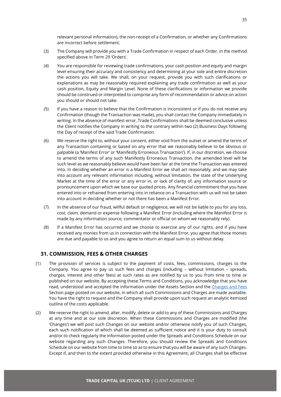relevant personal information), the non-receipt of a Confirmation, or whether any Confirmations are incorrect before settlement.

- (3) The Company will provide you with a Trade Confirmation in respect of each Order, in the method specified above in Term 29 'Orders'.
- (4) You are responsible for reviewing trade confirmations, your cash position and equity and margin level ensuring their accuracy and consistency and determining at your sole and entire discretion the actions you will take. We shall, on your request, provide you with such clarifications or explanations as may be reasonably required explaining any trade confirmation as well as your cash position, Equity and Margin Level. None of these clarifications or information we provide should be construed or interpreted to comprise any form of recommendation or advice on action you should or should not take.
- (5) If you have a reason to believe that the Confirmation is inconsistent or if you do not receive any Confirmation (though the Transaction was made), you shall contact the Company immediately in writing. In the absence of manifest error, Trade Confirmations shall be deemed conclusive unless the Client notifies the Company in writing to the contrary within two (2) Business Days following the Day of receipt of the said Trade Confirmation.
- (6) We reserve the right to, without your consent, either void from the outset or amend the terms of any Transaction containing or based on any error that we reasonably believe to be obvious or palpable (a 'Manifest Error' or 'Manifestly Erroneous Transaction'). If, in our discretion, we choose to amend the terms of any such Manifestly Erroneous Transaction, the amended level will be such level as we reasonably believe would have been fair at the time the Transaction was entered into. In deciding whether an error is a Manifest Error we shall act reasonably, and we may take into account any relevant information including, without limitation, the state of the Underlying Market at the time of the error or any error in, or lack of clarity of, any information source or pronouncement upon which we base our quoted prices. Any financial commitment that you have entered into or refrained from entering into in reliance on a Transaction with us will not be taken into account in deciding whether or not there has been a Manifest Error.
- (7) In the absence of our fraud, willful default or negligence, we will not be liable to you for any loss, cost, claim, demand or expense following a Manifest Error (including where the Manifest Error is made by any information source, commentator or official on whom we reasonably rely).
- (8) If a Manifest Error has occurred and we choose to exercise any of our rights, and if you have received any monies from us in connection with the Manifest Error, you agree that those monies are due and payable to us and you agree to return an equal sum to us without delay.

# <span id="page-35-0"></span>**31. COMMISSION, FEES & OTHER CHARGES**

- (1) The provision of services is subject to the payment of costs, fees, commissions, charges to the Company. You agree to pay us such fees and charges (including – without limitation – spreads, charges, interest and other fees) at such rates as are notified by us to you from time to time or published on our website. By accepting these Terms and Conditions, you acknowledge that you have read, understood and accepted the information under the Assets Section and the Charges [and Fees](https://cfd.trade.com/en/charges-fees) Section page posted on our website, in which all such Commissions and Charges are made available. You have the right to request and the Company shall provide upon such request an analytic itemized outline of the costs applicable.
- (2) We reserve the right to amend, alter, modify, delete or add to any of these Commissions and Charges at any time and at our sole discretion. When these Commissions and Charges are modified (the 'Changes') we will post such Changes on our website and/or otherwise notify you of such Changes, each such notification of which shall be deemed as sufficient notice and it is your duty to consult and/or to check regularly the information posted under the Spreads and Conditions Schedule on our website regarding any such Changes. Therefore, you should review the Spreads and Conditions Schedule on our website from time to time so as to ensure that you will be aware of any such Changes. Except if, and then to the extent provided otherwise in this Agreement, all Changes shall be effective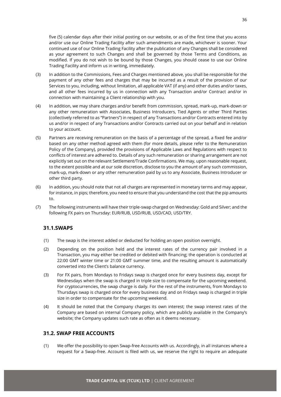five (5) calendar days after their initial posting on our website, or as of the first time that you access and/or use our Online Trading Facility after such amendments are made, whichever is sooner. Your continued use of our Online Trading Facility after the publication of any Changes shall be considered as your agreement to such Changes and shall be governed by those Terms and Conditions, as modified. If you do not wish to be bound by those Changes, you should cease to use our Online Trading Facility and inform us in writing, immediately.

- (3) In addition to the Commissions, Fees and Charges mentioned above, you shall be responsible for the payment of any other fees and charges that may be incurred as a result of the provision of our Services to you, including, without limitation, all applicable VAT (if any) and other duties and/or taxes, and all other fees incurred by us in connection with any Transaction and/or Contract and/or in connection with maintaining a Client relationship with you.
- (4) In addition, we may share charges and/or benefit from commission, spread, mark-up, mark-down or any other remuneration with Associates, Business Introducers, Tied Agents or other Third Parties (collectively referred to as "Partners") in respect of any Transactions and/or Contracts entered into by us and/or in respect of any Transactions and/or Contracts carried out on your behalf and in relation to your account.
- (5) Partners are receiving remuneration on the basis of a percentage of the spread, a fixed fee and/or based on any other method agreed with them (for more details, please refer to the Remuneration Policy of the Company), provided the provisions of Applicable Laws and Regulations with respect to conflicts of interest are adhered to. Details of any such remuneration or sharing arrangement are not explicitly set out on the relevant Settlement/Trade Confirmations. We may, upon reasonable request, to the extent possible and at our sole discretion, disclose to you the amount of any such commission, mark-up, mark-down or any other remuneration paid by us to any Associate, Business Introducer or other third party.
- (6) In addition, you should note that not all charges are represented in monetary terms and may appear, for instance, in pips; therefore, you need to ensure that you understand the cost that the pip amounts to.
- (7) The following instruments will have their triple-swap charged on Wednesday: Gold and Silver; and the following FX pairs on Thursday: EUR/RUB, USD/RUB, USD/CAD, USD/TRY.

#### <span id="page-36-0"></span>**31.1.SWAPS**

- (1) The swap is the interest added or deducted for holding an open position overnight.
- (2) Depending on the position held and the interest rates of the currency pair involved in a Transaction, you may either be credited or debited with financing; the operation is conducted at 22:00 GMT winter time or 21:00 GMT summer time, and the resulting amount is automatically converted into the Client's balance currency.
- (3) For FX pairs, from Mondays to Fridays swap is charged once for every business day, except for Wednesdays when the swap is charged in triple size to compensate for the upcoming weekend. For cryptocurrencies, the swap charge is daily. For the rest of the instruments, from Mondays to Thursdays swap is charged once for every business day and on Fridays swap is charged in triple size in order to compensate for the upcoming weekend.
- (4) It should be noted that the Company charges its own interest; the swap interest rates of the Company are based on internal Company policy, which are publicly available in the Company's website; the Company updates such rate as often as it deems necessary.

# <span id="page-36-1"></span>**31.2. SWAP FREE ACCOUNTS**

(1) We offer the possibility to open Swap-free Accounts with us. Accordingly, in all instances where a request for a Swap-free. Account is filed with us, we reserve the right to require an adequate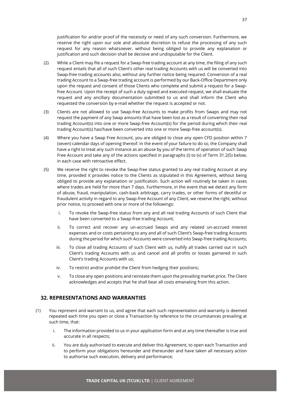justification for and/or proof of the necessity or need of any such conversion. Furthermore, we reserve the right upon our sole and absolute discretion to refuse the processing of any such request for any reason whatsoever, without being obliged to provide any explanation or justification and such decision shall be decisive and undisputable for the Client.

- (2) While a Client may file a request for a Swap-free trading account at any time, the filing of any such request entails that all of such Client's other real trading Accounts with us will be converted into Swap-free trading accounts also, without any further notice being required. Conversion of a real trading Account to a Swap-free trading account is performed by our Back-Office Department only upon the request and consent of those Clients who complete and submit a request for a Swapfree Account. Upon the receipt of such a duly signed and executed request, we shall evaluate the request and any ancillary documentation submitted to us and shall inform the Client who requested the conversion by e-mail whether the request is accepted or not.
- (3) Clients are not allowed to use Swap-free Accounts to make profits from Swaps and may not request the payment of any Swap amounts that have been lost as a result of converting their real trading Account(s) into one or more Swap-free Account(s) for the period during which their real trading Account(s) has/have been converted into one or more Swap-free account(s).
- (4) Where you have a Swap Free Account, you are obliged to close any open CFD position within 7 (seven) calendar days of opening thereof. In the event of your failure to do so, the Company shall have a right to treat any such instance as an abuse by you of the terms of operation of such Swap Free Account and take any of the actions specified in paragraphs (i) to (v) of Term 31.2(5) below, in each case with retroactive effect.
- (5) We reserve the right to revoke the Swap-free status granted to any real trading Account at any time, provided it provides notice to the Clients as stipulated in this Agreement, without being obliged to provide any explanation or justification. Such action will routinely be taken in cases where trades are held for more than 7 days. Furthermore, in the event that we detect any form of abuse, fraud, manipulation, cash-back arbitrage, carry trades, or other forms of deceitful or fraudulent activity in regard to any Swap-free Account of any Client, we reserve the right, without prior notice, to proceed with one or more of the followings:
	- i. To revoke the Swap-free status from any and all real trading Accounts of such Client that have been converted to a Swap-free trading Account;
	- ii. To correct and recover any un-accrued Swaps and any related un-accrued interest expenses and or costs pertaining to any and all of such Client's Swap-free trading Accounts during the period for which such Accounts were converted into Swap-free trading Accounts;
	- iii. To close all trading Accounts of such Client with us, nullify all trades carried out in such Client's trading Accounts with us and cancel and all profits or losses garnered in such Client's trading Accounts with us;
	- iv. To restrict and/or prohibit the Client from hedging their positions;
	- v. To close any open positions and reinstate them upon the prevailing market price. The Client acknowledges and accepts that he shall bear all costs emanating from this action.

# <span id="page-37-0"></span>**32. REPRESENTATIONS AND WARRANTIES**

- (1) You represent and warrant to us, and agree that each such representation and warranty is deemed repeated each time you open or close a Transaction by reference to the circumstances prevailing at such time, that:
	- i. The information provided to us in your application form and at any time thereafter is true and accurate in all respects;
	- ii. You are duly authorised to execute and deliver this Agreement, to open each Transaction and to perform your obligations hereunder and thereunder and have taken all necessary action to authorise such execution, delivery and performance;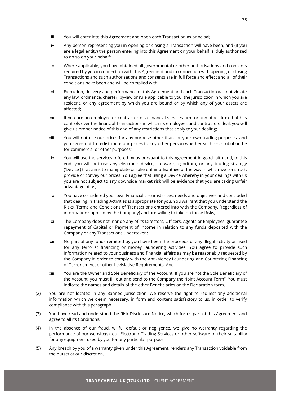- iii. You will enter into this Agreement and open each Transaction as principal;
- iv. Any person representing you in opening or closing a Transaction will have been, and (if you are a legal entity) the person entering into this Agreement on your behalf is, duly authorised to do so on your behalf;
- v. Where applicable, you have obtained all governmental or other authorisations and consents required by you in connection with this Agreement and in connection with opening or closing Transactions and such authorisations and consents are in full force and effect and all of their conditions have been and will be complied with;
- vi. Execution, delivery and performance of this Agreement and each Transaction will not violate any law, ordinance, charter, by-law or rule applicable to you, the jurisdiction in which you are resident, or any agreement by which you are bound or by which any of your assets are affected;
- vii. If you are an employee or contractor of a financial services firm or any other firm that has controls over the financial Transactions in which its employees and contractors deal, you will give us proper notice of this and of any restrictions that apply to your dealing;
- viii. You will not use our prices for any purpose other than for your own trading purposes, and you agree not to redistribute our prices to any other person whether such redistribution be for commercial or other purposes;
- ix. You will use the services offered by us pursuant to this Agreement in good faith and, to this end, you will not use any electronic device, software, algorithm, or any trading strategy ('Device') that aims to manipulate or take unfair advantage of the way in which we construct, provide or convey our prices. You agree that using a Device whereby in your dealings with us you are not subject to any downside market risk will be evidence that you are taking unfair advantage of us;
- x. You have considered your own Financial circumstances, needs and objectives and concluded that dealing in Trading Activities is appropriate for you. You warrant that you understand the Risks, Terms and Conditions of Transactions entered into with the Company, (regardless of information supplied by the Company) and are willing to take on those Risks;
- xi. The Company does not, nor do any of its Directors, Officers, Agents or Employees, guarantee repayment of Capital or Payment of Income in relation to any funds deposited with the Company or any Transactions undertaken;
- xii. No part of any funds remitted by you have been the proceeds of any illegal activity or used for any terrorist financing or money laundering activities. You agree to provide such information related to your business and financial affairs as may be reasonably requested by the Company in order to comply with the Anti-Money Laundering and Countering Financing of Terrorism Act or other Legislative Requirements; And
- xiii. You are the Owner and Sole Beneficiary of the Account. If you are not the Sole Beneficiary of the Account, you must fill out and send to the Company the "Joint Account Form". You must indicate the names and details of the other Beneficiaries on the Declaration form.
- (2) You are not located in any Banned Jurisdiction. We reserve the right to request any additional information which we deem necessary, in form and content satisfactory to us, in order to verify compliance with this paragraph.
- (3) You have read and understood the Risk Disclosure Notice, which forms part of this Agreement and agree to all its Conditions.
- (4) In the absence of our fraud, willful default or negligence, we give no warranty regarding the performance of our website(s), our Electronic Trading Services or other software or their suitability for any equipment used by you for any particular purpose.
- (5) Any breach by you of a warranty given under this Agreement, renders any Transaction voidable from the outset at our discretion.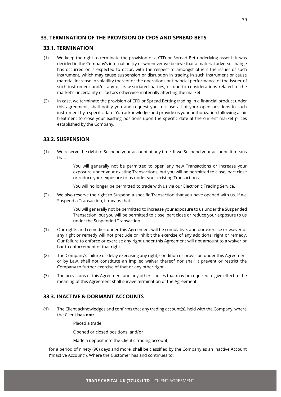# <span id="page-39-0"></span>**33. TERMINATION OF THE PROVISION OF CFDS AND SPREAD BETS**

#### <span id="page-39-1"></span>**33.1. TERMINATION**

- (1) We keep the right to terminate the provision of a CFD or Spread Bet underlying asset if it was decided in the Company's internal policy or whenever we believe that a material adverse change has occurred or is expected to occur, with the respect to amongst others the issuer of such Instrument, which may cause suspension or disruption in trading in such Instrument or cause material increase in volatility thereof or the operations or financial performance of the issuer of such instrument and/or any of its associated parties, or due to considerations related to the market's uncertainty or factors otherwise materially affecting the market.
- (2) In case, we terminate the provision of CFD or Spread Betting trading in a financial product under this agreement, shall notify you and request you to close all of your open positions in such instrument by a specific date. You acknowledge and provide us your authorization following a fair treatment to close your existing positions upon the specific date at the current market prices established by the Company.

# <span id="page-39-2"></span>**33.2. SUSPENSION**

- (1) We reserve the right to Suspend your account at any time. If we Suspend your account, it means that:
	- i. You will generally not be permitted to open any new Transactions or increase your exposure under your existing Transactions, but you will be permitted to close, part close or reduce your exposure to us under your existing Transactions;
	- ii. You will no longer be permitted to trade with us via our Electronic Trading Service.
- (2) We also reserve the right to Suspend a specific Transaction that you have opened with us. If we Suspend a Transaction, it means that:
	- i. You will generally not be permitted to increase your exposure to us under the Suspended Transaction, but you will be permitted to close, part close or reduce your exposure to us under the Suspended Transaction.
- (1) Our rights and remedies under this Agreement will be cumulative, and our exercise or waiver of any right or remedy will not preclude or inhibit the exercise of any additional right or remedy. Our failure to enforce or exercise any right under this Agreement will not amount to a waiver or bar to enforcement of that right.
- (2) The Company's failure or delay exercising any right, condition or provision under this Agreement or by Law, shall not constitute an implied waiver thereof nor shall it prevent or restrict the Company to further exercise of that or any other right.
- (3) The provisions of this Agreement and any other clauses that may be required to give effect to the meaning of this Agreement shall survive termination of the Agreement.

# <span id="page-39-3"></span>**33.3. INACTIVE & DORMANT ACCOUNTS**

- **(1)** The Client acknowledges and confirms that any trading account(s), held with the Company, where the Client **has not:** 
	- i. Placed a trade;
	- ii. Opened or closed positions; and/or
	- iii. Made a deposit into the Client's trading account;

for a period of ninety (90) days and more, shall be classified by the Company as an Inactive Account ("Inactive Account"). Where the Customer has and continues to: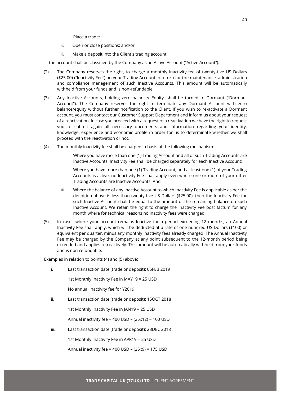- i. Place a trade;
- ii. Open or close positions; and/or
- iii. Make a deposit into the Client's trading account;

the account shall be classified by the Company as an Active Account ("Active Account").

- (2) The Company reserves the right, to charge a monthly inactivity fee of twenty-five US Dollars (\$25.00) ("Inactivity Fee") on your Trading Account in return for the maintenance, administration and compliance management of such Inactive Accounts. This amount will be automatically withheld from your funds and is non-refundable.
- (3) Any Inactive Accounts, holding zero balance/ Equity, shall be turned to Dormant ("Dormant Account"). The Company reserves the right to terminate any Dormant Account with zero balance/equity without further notification to the Client. If you wish to re-activate a Dormant account, you must contact our Customer Support Department and inform us about your request of a reactivation. In case you proceed with a request of a reactivation we have the right to request you to submit again all necessary documents and information regarding your identity, knowledge, experience and economic profile in order for us to determinate whether we shall proceed with the reactivation or not.
- (4) The monthly inactivity fee shall be charged in basis of the following mechanism:
	- i. Where you have more than one (1) Trading Account and all of such Trading Accounts are Inactive Accounts, Inactivity Fee shall be charged separately for each Inactive Account;
	- ii. Where you have more than one (1) Trading Account, and at least one (1) of your Trading Accounts is active, no Inactivity Fee shall apply even where one or more of your other Trading Accounts are Inactive Accounts; And
	- iii. Where the balance of any Inactive Account to which Inactivity Fee is applicable as per the definition above is less than twenty-five US Dollars (\$25.00), then the Inactivity Fee for such Inactive Account shall be equal to the amount of the remaining balance on such Inactive Account. We retain the right to charge the Inactivity Fee post factum for any month where for technical reasons no inactivity fees were charged.
- (5) In cases where your account remains Inactive for a period exceeding 12 months, an Annual Inactivity Fee shall apply, which will be deducted at a rate of one-hundred US Dollars (\$100) or equivalent per quarter, minus any monthly inactivity fees already charged. The Annual Inactivity Fee may be charged by the Company at any point subsequent to the 12-month period being exceeded and applies retroactively. This amount will be automatically withheld from your funds and is non-refundable.

Examples in relation to points (4) and (5) above:

i. Last transaction date (trade or deposit): 05FEB 2019

1st Monthly Inactivity Fee in MAY19 = 25 USD

No annual inactivity fee for Y2019

ii. Last transaction date (trade or deposit): 15OCT 2018

1st Monthly Inactivity Fee in JAN19 = 25 USD

Annual inactivity fee = 400 USD – (25x12) = 100 USD

iii. Last transaction date (trade or deposit): 23DEC 2018

1st Monthly Inactivity Fee in APR19 = 25 USD

Annual inactivity fee = 400 USD – (25x9) = 175 USD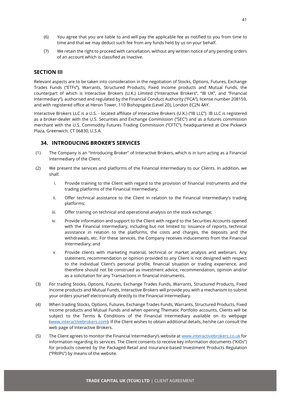- (6) You agree that you are liable to and will pay the applicable fee as notified to you from time to time and that we may deduct such fee from any funds held by us on your behalf.
- (7) We retain the right to proceed with cancellation, without any written notice of any pending orders of an account which is classified as Inactive.

#### <span id="page-41-0"></span>**SECTION III**

Relevant aspects are to be taken into consideration in the negotiation of Stocks, Options, Futures, Exchange Trades Funds ("ETFs"), Warrants, Structured Products, Fixed Income products and Mutual Funds, the counterpart of which is Interactive Brokers (U.K.) Limited ("Interactive Brokers", "IB UK", and "Financial Intermediary"), authorised and regulated by the Financial Conduct Authority ("FCA"), license number 208159, and with registered office at Heron Tower, 110 Bishopsgate (Level 20), London EC2N 4AY.

Interactive Brokers LLC is a U.S. - located affiliate of Interactive Brokers (U.K.) ("IB LLC"). IB LLC is registered as a broker-dealer with the U.S. Securities and Exchange Commission ("SEC") and as a futures commission merchant with the U.S. Commodity Futures Trading Commission ("CFTC"), headquartered at One Pickwick Plaza, Greenwich, CT 06830, U.S.A.

#### <span id="page-41-1"></span>**34. INTRODUCING BROKER'S SERVICES**

- (1) The Company is an "Introducing Broker" of Interactive Brokers, which is in turn acting as a Financial Intermediary of the Client.
- (2) We present the services and platforms of the Financial Intermediary to our Clients. In addition, we shall:
	- i. Provide training to the Client with regard to the provision of financial instruments and the trading platforms of the Financial Intermediary;
	- ii. Offer technical assistance to the Client in relation to the Financial Intermediary's trading platforms;
	- iii. Offer training on technical and operational analysis on the stock exchange;
	- iv. Provide information and support to the Client with regard to the Securities Accounts opened with the Financial Intermediary, including but not limited to: issuance of reports, technical assistance in relation to the platforms, the costs and charges, the deposits and the withdrawals, etc. For these services, the Company receives inducements from the Financial Intermediary; and
	- v. Provide clients with marketing material, technical or market analysis and webinars. Any statement, recommendation or opinion provided to any Client is not designed with respect to the individual Client's personal profile, financial situation or trading experience, and therefore should not be construed as investment advice, recommendation, opinion and/or as a solicitation for any Transactions in financial instruments.
- (3) For trading Stocks, Options, Futures, Exchange Trades Funds, Warrants, Structured Products, Fixed Income products and Mutual Funds, Interactive Brokers will provide you with a mechanism to submit your orders yourself electronically directly to the Financial Intermediary.
- (4) When trading Stocks, Options, Futures, Exchange Trades Funds, Warrants, Structured Products, Fixed Income products and Mutual Funds and when opening Thematic Portfolio accounts, Clients will be subject to the Terms & Conditions of the Financial Intermediary available on its webpage [\(www.interactivebrokers.com\)](http://www.interactivebrokers.com/). If the Client wishes to obtain additional details, he/she can consult the web page of Interactive Brokers.
- (5) The Client agrees to monitor the Financial Intermediary's website at [www.interactivebrokers.co.uk](http://www.interactivebrokers.co.uk/) for information regarding its services. The Client consents to receive key information documents ("KIDs") for products covered by the Packaged Retail and Insurance-based Investment Products Regulation ("PRIIPs") by means of the website.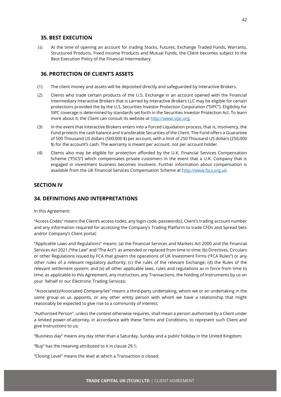#### <span id="page-42-0"></span>**35. BEST EXECUTION**

(1) At the time of opening an account for trading Stocks, Futures, Exchange Traded Funds, Warrants, Structured Products, Fixed Income Products and Mutual Funds, the Client becomes subject to the Best Execution Policy of the Financial Intermediary.

#### <span id="page-42-1"></span>**36. PROTECTION OF CLIENT'S ASSETS**

- (1) The client money and assets will be deposited directly and safeguarded by Interactive Brokers.
- (2) Clients who trade certain products of the U.S. Exchange in an account opened with the Financial Intermediary Interactive Brokers that is carried by Interactive Brokers LLC may be eligible for certain protections provided the by the U.S. Securities Investor Protection Corporation ("SIPC"). Eligibility for SIPC coverage is determined by standards set forth in the Securities Investor Protection Act. To learn more about it, the Client can consult its website at [http://www.sipc.org.](http://www.sipc.org/)
- (3) In the event that Interactive Brokers enters into a Forced Liquidation process, that is, Insolvency, the Fund protects the cash balance and transferable Securities of the Client. The Fund offers a Guarantee of 500 Thousand US dollars (500,000 \$) per account, with a limit of 250 Thousand US dollars (250,000 \$) for the account's cash. The warranty is meant per account, not per account holder.
- (4) Clients also may be eligible for protection afforded by the U.K. Financial Services Compensation Scheme ("FSCS") which compensates private customers in the event that a U.K. Company that is engaged in investment business becomes insolvent. Further information about compensation is available from the UK Financial Services Compensation Scheme a[t http://www.fscs.org.uk.](http://www.fscs.org.uk/)

#### <span id="page-42-2"></span>**SECTION IV**

# <span id="page-42-3"></span>**34. DEFINITIONS AND INTERPRETATIONS**

In this Agreement:

"Access Codes" means the Client's access codes, any login code, password(s), Client's trading account number and any information required for accessing the Company's Trading Platform to trade CFDs and Spread bets and/or Company's Client portal;

"Applicable Laws and Regulations" means: (a) the Financial Services and Markets Act 2000 and the Financial Services Act 2021 ("the Law" and "The Act") as amended or replaced from time to time; (b) Directives, Circulars or other Regulations issued by FCA that govern the operations of UK Investment Firms ("FCA Rules") or any other rules of a relevant regulatory authority; (c) the rules of the relevant Exchange; (d) the Rules of the relevant settlement system; and (e) all other applicable laws, rules and regulations as in force from time to time, as applicable to this Agreement, any Instruction, any Transactions, the holding of Instruments by us on your behalf or our Electronic Trading Services;

"Associate(s)/Associated Company/ies" means a third-party undertaking, whom we or an undertaking in the same group as us appoints, or any other entity person with whom we have a relationship that might reasonably be expected to give rise to a community of interest;

"Authorised Person", unless the context otherwise requires, shall mean a person authorised by a Client under a limited power-of-attorney, in accordance with these Terms and Conditions, to represent such Client and give Instructions to us;

"Business day" means any day other than a Saturday, Sunday and a public holiday in the United Kingdom;

"Buy" has the meaning attributed to it in clause 29.1;

"Closing Level" means the level at which a Transaction is closed;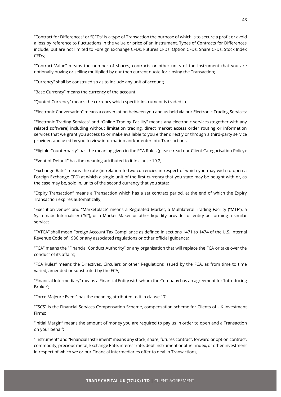"Contract for Differences" or "CFDs" is a type of Transaction the purpose of which is to secure a profit or avoid a loss by reference to fluctuations in the value or price of an Instrument. Types of Contracts for Differences include, but are not limited to Foreign Exchange CFDs, Futures CFDs, Option CFDs, Share CFDs, Stock Index CFDs;

"Contract Value" means the number of shares, contracts or other units of the Instrument that you are notionally buying or selling multiplied by our then current quote for closing the Transaction;

"Currency" shall be construed so as to include any unit of account;

"Base Currency" means the currency of the account.

"Quoted Currency" means the currency which specific instrument is traded in.

"Electronic Conversation" means a conversation between you and us held via our Electronic Trading Services;

"Electronic Trading Services" and "Online Trading Facility" means any electronic services (together with any related software) including without limitation trading, direct market access order routing or information services that we grant you access to or make available to you either directly or through a third-party service provider, and used by you to view information and/or enter into Transactions;

"Eligible Counterparty" has the meaning given in the FCA Rules (please read our Client Categorisation Policy);

"Event of Default" has the meaning attributed to it in clause 19.2;

"Exchange Rate" means the rate (in relation to two currencies in respect of which you may wish to open a Foreign Exchange CFD) at which a single unit of the first currency that you state may be bought with or, as the case may be, sold in, units of the second currency that you state;

"Expiry Transaction" means a Transaction which has a set contract period, at the end of which the Expiry Transaction expires automatically;

"Execution venue" and "Marketplace" means a Regulated Market, a Multilateral Trading Facility ("MTF"), a Systematic Internaliser ("SI"), or a Market Maker or other liquidity provider or entity performing a similar service;

"FATCA" shall mean Foreign Account Tax Compliance as defined in sections 1471 to 1474 of the U.S. Internal Revenue Code of 1986 or any associated regulations or other official guidance;

"FCA" means the "Financial Conduct Authority" or any organisation that will replace the FCA or take over the conduct of its affairs;

"FCA Rules" means the Directives, Circulars or other Regulations issued by the FCA, as from time to time varied, amended or substituted by the FCA;

"Financial Intermediary" means a Financial Entity with whom the Company has an agreement for 'Introducing Broker';

"Force Majeure Event" has the meaning attributed to it in clause 17;

"FSCS" is the Financial Services Compensation Scheme, compensation scheme for Clients of UK Investment Firms;

"Initial Margin" means the amount of money you are required to pay us in order to open and a Transaction on your behalf;

"Instrument" and "Financial Instrument" means any stock, share, futures contract, forward or option contract, commodity, precious metal, Exchange Rate, interest rate, debt instrument or other index, or other investment in respect of which we or our Financial Intermediaries offer to deal in Transactions;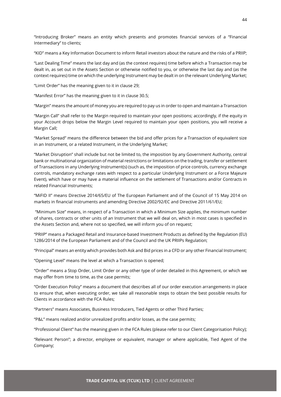"Introducing Broker" means an entity which presents and promotes financial services of a "Financial Intermediary" to clients;

"KID" means a Key Information Document to inform Retail investors about the nature and the risks of a PRIIP;

"Last Dealing Time" means the last day and (as the context requires) time before which a Transaction may be dealt in, as set out in the Assets Section or otherwise notified to you, or otherwise the last day and (as the context requires) time on which the underlying Instrument may be dealt in on the relevant Underlying Market;

"Limit Order" has the meaning given to it in clause 29;

"Manifest Error" has the meaning given to it in clause 30.5;

"Margin" means the amount of money you are required to pay us in order to open and maintain a Transaction

"Margin Call" shall refer to the Margin required to maintain your open positions; accordingly, if the equity in your Account drops below the Margin Level required to maintain your open positions, you will receive a Margin Call;

"Market Spread" means the difference between the bid and offer prices for a Transaction of equivalent size in an Instrument, or a related Instrument, in the Underlying Market;

"Market Disruption" shall include but not be limited to, the imposition by any Government Authority, central bank or multinational organization of material restrictions or limitations on the trading, transfer or settlement of Transactions in any Underlying Instrument(s) (such as, the imposition of price controls, currency exchange controls, mandatory exchange rates with respect to a particular Underlying Instrument or a Force Majeure Event), which have or may have a material influence on the settlement of Transactions and/or Contracts in related Financial Instruments;

"MiFID II" means Directive 2014/65/EU of The European Parliament and of the Council of 15 May 2014 on markets in financial instruments and amending Directive 2002/92/EC and Directive 2011/61/EU;

"Minimum Size" means, in respect of a Transaction in which a Minimum Size applies, the minimum number of shares, contracts or other units of an Instrument that we will deal on, which in most cases is specified in the Assets Section and, where not so specified, we will inform you of on request;

"PRIIP" means a Packaged Retail and Insurance-based Investment Products as defined by the Regulation (EU) 1286/2014 of the European Parliament and of the Council and the UK PRIIPs Regulation;

"Principal" means an entity which provides both Ask and Bid prices in a CFD or any other Financial Instrument;

"Opening Level" means the level at which a Transaction is opened;

"Order" means a Stop Order, Limit Order or any other type of order detailed in this Agreement, or which we may offer from time to time, as the case permits;

"Order Execution Policy" means a document that describes all of our order execution arrangements in place to ensure that, when executing order, we take all reasonable steps to obtain the best possible results for Clients in accordance with the FCA Rules;

"Partners" means Associates, Business Introducers, Tied Agents or other Third Parties;

"P&L" means realized and/or unrealized profits and/or losses, as the case permits;

"Professional Client" has the meaning given in the FCA Rules (please refer to our Client Categorisation Policy);

"Relevant Person"; a director, employee or equivalent, manager or where applicable, Tied Agent of the Company;